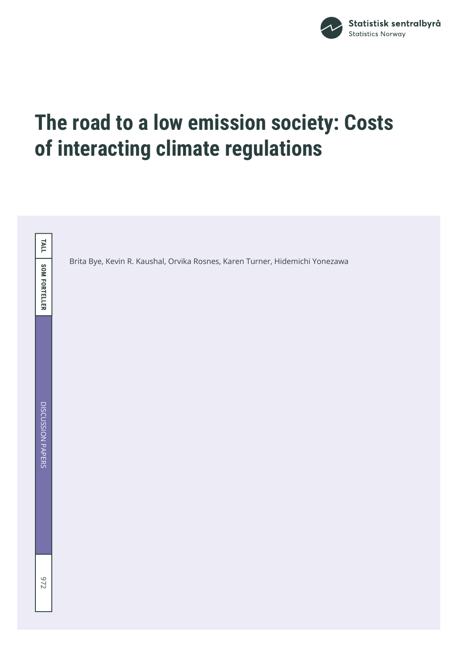

# **The road to a low emission society: Costs of interacting climate regulations**

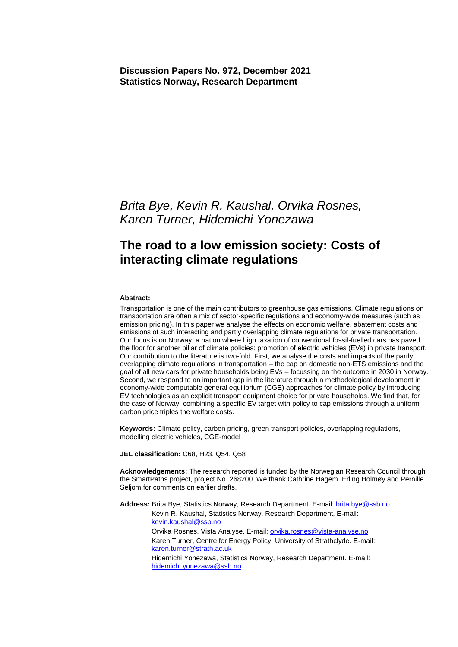*Brita Bye, Kevin R. Kaushal, Orvika Rosnes, Karen Turner, Hidemichi Yonezawa* 

### **The road to a low emission society: Costs of interacting climate regulations**

#### **Abstract:**

Transportation is one of the main contributors to greenhouse gas emissions. Climate regulations on transportation are often a mix of sector-specific regulations and economy-wide measures (such as emission pricing). In this paper we analyse the effects on economic welfare, abatement costs and emissions of such interacting and partly overlapping climate regulations for private transportation. Our focus is on Norway, a nation where high taxation of conventional fossil-fuelled cars has paved the floor for another pillar of climate policies: promotion of electric vehicles (EVs) in private transport. Our contribution to the literature is two-fold. First, we analyse the costs and impacts of the partly overlapping climate regulations in transportation – the cap on domestic non-ETS emissions and the goal of all new cars for private households being EVs – focussing on the outcome in 2030 in Norway. Second, we respond to an important gap in the literature through a methodological development in economy-wide computable general equilibrium (CGE) approaches for climate policy by introducing EV technologies as an explicit transport equipment choice for private households. We find that, for the case of Norway, combining a specific EV target with policy to cap emissions through a uniform carbon price triples the welfare costs.

**Keywords:** Climate policy, carbon pricing, green transport policies, overlapping regulations, modelling electric vehicles, CGE-model

**JEL classification:** C68, H23, Q54, Q58

**Acknowledgements:** The research reported is funded by the Norwegian Research Council through the SmartPaths project, project No. 268200. We thank Cathrine Hagem, Erling Holmøy and Pernille Seljom for comments on earlier drafts.

**Address:** Brita Bye, Statistics Norway, Research Department. E-mail[: brita.bye@ssb.no](mailto:brita.bye@ssb.no) Kevin R. Kaushal, Statistics Norway. Research Department, E-mail: [kevin.kaushal@ssb.no](mailto:kevin.kaushal@ssb.no) Orvika Rosnes, Vista Analyse. E-mail: orvika.rosnes@vista-analyse.no Karen Turner, Centre for Energy Policy, University of Strathclyde. E-mail: [karen.turner@strath.ac.uk](mailto:karen.turner@strath.ac.uk) Hidemichi Yonezawa, Statistics Norway, Research Department. E-mail: [hidemichi.yonezawa@ssb.no](mailto:hidemichi.yonezawa@ssb.no)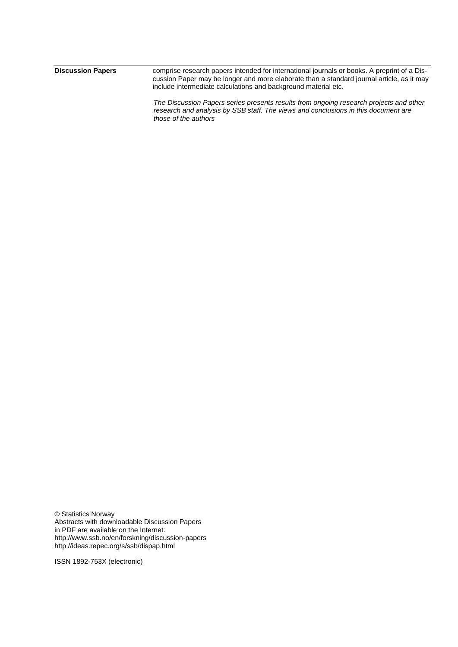| <b>Discussion Papers</b> | comprise research papers intended for international journals or books. A preprint of a Dis- |
|--------------------------|---------------------------------------------------------------------------------------------|
|                          | cussion Paper may be longer and more elaborate than a standard journal article, as it may   |
|                          | include intermediate calculations and background material etc.                              |
|                          |                                                                                             |

*The Discussion Papers series presents results from ongoing research projects and other research and analysis by SSB staff. The views and conclusions in this document are those of the authors*

© Statistics Norway Abstracts with downloadable Discussion Papers in PDF are available on the Internet: http://www.ssb.no/en/forskning/discussion-papers http://ideas.repec.org/s/ssb/dispap.html

ISSN 1892-753X (electronic)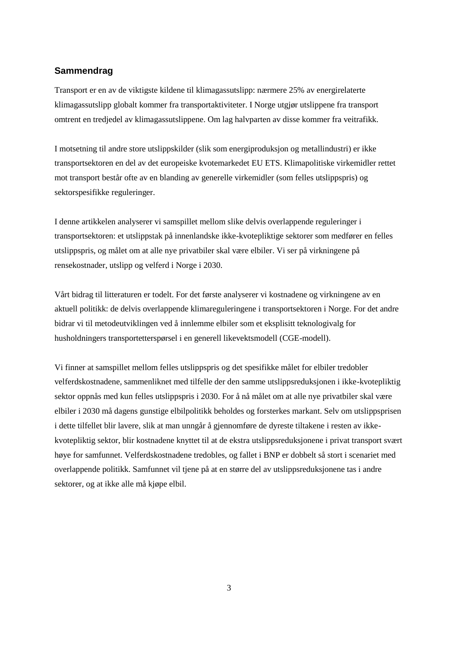#### **Sammendrag**

Transport er en av de viktigste kildene til klimagassutslipp: nærmere 25% av energirelaterte klimagassutslipp globalt kommer fra transportaktiviteter. I Norge utgjør utslippene fra transport omtrent en tredjedel av klimagassutslippene. Om lag halvparten av disse kommer fra veitrafikk.

I motsetning til andre store utslippskilder (slik som energiproduksjon og metallindustri) er ikke transportsektoren en del av det europeiske kvotemarkedet EU ETS. Klimapolitiske virkemidler rettet mot transport består ofte av en blanding av generelle virkemidler (som felles utslippspris) og sektorspesifikke reguleringer.

I denne artikkelen analyserer vi samspillet mellom slike delvis overlappende reguleringer i transportsektoren: et utslippstak på innenlandske ikke-kvotepliktige sektorer som medfører en felles utslippspris, og målet om at alle nye privatbiler skal være elbiler. Vi ser på virkningene på rensekostnader, utslipp og velferd i Norge i 2030.

Vårt bidrag til litteraturen er todelt. For det første analyserer vi kostnadene og virkningene av en aktuell politikk: de delvis overlappende klimareguleringene i transportsektoren i Norge. For det andre bidrar vi til metodeutviklingen ved å innlemme elbiler som et eksplisitt teknologivalg for husholdningers transportetterspørsel i en generell likevektsmodell (CGE-modell).

Vi finner at samspillet mellom felles utslippspris og det spesifikke målet for elbiler tredobler velferdskostnadene, sammenliknet med tilfelle der den samme utslippsreduksjonen i ikke-kvotepliktig sektor oppnås med kun felles utslippspris i 2030. For å nå målet om at alle nye privatbiler skal være elbiler i 2030 må dagens gunstige elbilpolitikk beholdes og forsterkes markant. Selv om utslippsprisen i dette tilfellet blir lavere, slik at man unngår å gjennomføre de dyreste tiltakene i resten av ikkekvotepliktig sektor, blir kostnadene knyttet til at de ekstra utslippsreduksjonene i privat transport svært høye for samfunnet. Velferdskostnadene tredobles, og fallet i BNP er dobbelt så stort i scenariet med overlappende politikk. Samfunnet vil tjene på at en større del av utslippsreduksjonene tas i andre sektorer, og at ikke alle må kjøpe elbil.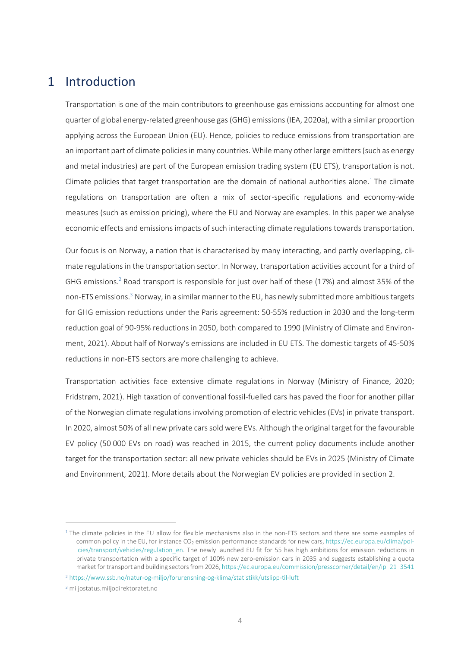### 1 Introduction

Transportation is one of the main contributors to greenhouse gas emissions accounting for almost one quarter of global energy-related greenhouse gas (GHG) emissions (IEA, 2020a), with a similar proportion applying across the European Union (EU). Hence, policies to reduce emissions from transportation are an important part of climate policies in many countries. While many other large emitters (such as energy and metal industries) are part of the European emission trading system (EU ETS), transportation is not. Climate policies that target transportation are the domain of national authorities alone. <sup>1</sup> The climate regulations on transportation are often a mix of sector-specific regulations and economy-wide measures (such as emission pricing), where the EU and Norway are examples. In this paper we analyse economic effects and emissions impacts of such interacting climate regulations towards transportation.

Our focus is on Norway, a nation that is characterised by many interacting, and partly overlapping, climate regulations in the transportation sector. In Norway, transportation activities account for a third of GHG emissions. <sup>2</sup> Road transport is responsible for just over half of these (17%) and almost 35% of the non-ETS emissions. <sup>3</sup> Norway, in a similar manner to the EU, has newly submitted more ambitious targets for GHG emission reductions under the Paris agreement: 50-55% reduction in 2030 and the long-term reduction goal of 90-95% reductions in 2050, both compared to 1990 (Ministry of Climate and Environment, 2021). About half of Norway's emissions are included in EU ETS. The domestic targets of 45-50% reductions in non-ETS sectors are more challenging to achieve.

Transportation activities face extensive climate regulations in Norway (Ministry of Finance, 2020; Fridstrøm, 2021). High taxation of conventional fossil-fuelled cars has paved the floor for another pillar of the Norwegian climate regulations involving promotion of electric vehicles (EVs) in private transport. In 2020, almost 50% of all new private cars sold were EVs. Although the original target for the favourable EV policy (50 000 EVs on road) was reached in 2015, the current policy documents include another target for the transportation sector: all new private vehicles should be EVs in 2025 (Ministry of Climate and Environment, 2021). More details about the Norwegian EV policies are provided in section [2.](#page-7-0)

 $1$  The climate policies in the EU allow for flexible mechanisms also in the non-ETS sectors and there are some examples of common policy in the EU, for instance CO<sub>2</sub> emission performance standards for new cars[, https://ec.europa.eu/clima/pol](https://ec.europa.eu/clima/policies/transport/vehicles/regulation_en)icies/transport/vehicles/regulation en. The newly launched EU fit for 55 has high ambitions for emission reductions in private transportation with a specific target of 100% new zero-emission cars in 2035 and suggests establishing a quota market for transport and building sectors from 2026, [https://ec.europa.eu/commission/presscorner/detail/en/ip\\_21\\_3541](https://ec.europa.eu/commission/presscorner/detail/en/ip_21_3541)

<sup>2</sup> <https://www.ssb.no/natur-og-miljo/forurensning-og-klima/statistikk/utslipp-til-luft>

<sup>&</sup>lt;sup>3</sup> miljostatus.miljodirektoratet.no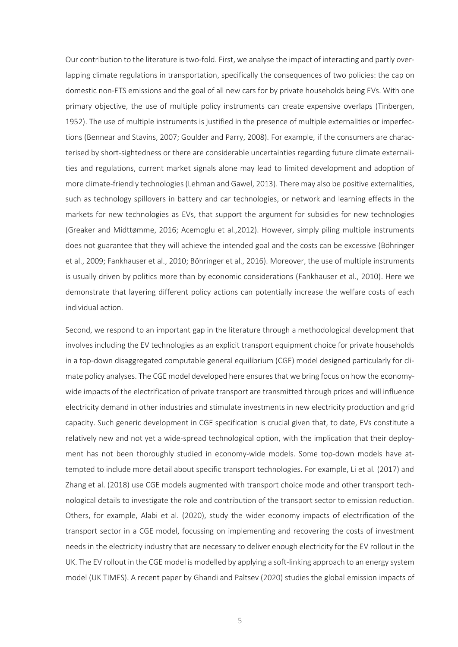Our contribution to the literature is two-fold. First, we analyse the impact of interacting and partly overlapping climate regulations in transportation, specifically the consequences of two policies: the cap on domestic non-ETS emissions and the goal of all new cars for by private households being EVs. With one primary objective, the use of multiple policy instruments can create expensive overlaps (Tinbergen, 1952). The use of multiple instruments is justified in the presence of multiple externalities or imperfections (Bennear and Stavins, 2007; Goulder and Parry, 2008). For example, if the consumers are characterised by short-sightedness or there are considerable uncertainties regarding future climate externalities and regulations, current market signals alone may lead to limited development and adoption of more climate-friendly technologies(Lehman and Gawel, 2013). There may also be positive externalities, such as technology spillovers in battery and car technologies, or network and learning effects in the markets for new technologies as EVs, that support the argument for subsidies for new technologies (Greaker and Midttømme, 2016; Acemoglu et al.,2012). However, simply piling multiple instruments does not guarantee that they will achieve the intended goal and the costs can be excessive (Böhringer et al., 2009; Fankhauser et al., 2010; Böhringer et al., 2016). Moreover, the use of multiple instruments is usually driven by politics more than by economic considerations (Fankhauser et al., 2010). Here we demonstrate that layering different policy actions can potentially increase the welfare costs of each individual action.

Second, we respond to an important gap in the literature through a methodological development that involves including the EV technologies as an explicit transport equipment choice for private households in a top-down disaggregated computable general equilibrium (CGE) model designed particularly for climate policy analyses. The CGE model developed here ensures that we bring focus on how the economywide impacts of the electrification of private transport are transmitted through prices and will influence electricity demand in other industries and stimulate investments in new electricity production and grid capacity. Such generic development in CGE specification is crucial given that, to date, EVs constitute a relatively new and not yet a wide-spread technological option, with the implication that their deployment has not been thoroughly studied in economy-wide models. Some top-down models have attempted to include more detail about specific transport technologies. For example, Li et al. (2017) and Zhang et al. (2018) use CGE models augmented with transport choice mode and other transport technological details to investigate the role and contribution of the transport sector to emission reduction. Others, for example, Alabi et al. (2020), study the wider economy impacts of electrification of the transport sector in a CGE model, focussing on implementing and recovering the costs of investment needs in the electricity industry that are necessary to deliver enough electricity for the EV rollout in the UK. The EV rollout in the CGE model is modelled by applying a soft-linking approach to an energy system model (UK TIMES). A recent paper by Ghandi and Paltsev (2020) studies the global emission impacts of

5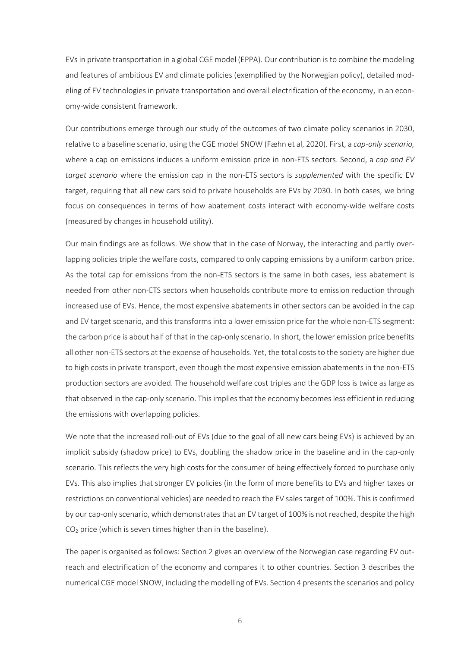EVs in private transportation in a global CGE model (EPPA). Our contribution is to combine the modeling and features of ambitious EV and climate policies (exemplified by the Norwegian policy), detailed modeling of EV technologies in private transportation and overall electrification of the economy, in an economy-wide consistent framework.

Our contributions emerge through our study of the outcomes of two climate policy scenarios in 2030, relative to a baseline scenario, using the CGE model SNOW (Fæhn et al, 2020). First, a *cap-only scenario,*  where a cap on emissions induces a uniform emission price in non-ETS sectors. Second, a *cap and EV target scenario* where the emission cap in the non-ETS sectors is *supplemented* with the specific EV target, requiring that all new cars sold to private households are EVs by 2030. In both cases, we bring focus on consequences in terms of how abatement costs interact with economy-wide welfare costs (measured by changes in household utility).

Our main findings are as follows. We show that in the case of Norway, the interacting and partly overlapping policies triple the welfare costs, compared to only capping emissions by a uniform carbon price. As the total cap for emissions from the non-ETS sectors is the same in both cases, less abatement is needed from other non-ETS sectors when households contribute more to emission reduction through increased use of EVs. Hence, the most expensive abatements in other sectors can be avoided in the cap and EV target scenario, and this transforms into a lower emission price for the whole non-ETS segment: the carbon price is about half of that in the cap-only scenario. In short, the lower emission price benefits all other non-ETS sectors at the expense of households. Yet, the total costs to the society are higher due to high costs in private transport, even though the most expensive emission abatements in the non-ETS production sectors are avoided. The household welfare cost triples and the GDP loss is twice as large as that observed in the cap-only scenario. This implies that the economy becomes less efficient in reducing the emissions with overlapping policies.

We note that the increased roll-out of EVs (due to the goal of all new cars being EVs) is achieved by an implicit subsidy (shadow price) to EVs, doubling the shadow price in the baseline and in the cap-only scenario. This reflects the very high costs for the consumer of being effectively forced to purchase only EVs. This also implies that stronger EV policies (in the form of more benefits to EVs and higher taxes or restrictions on conventional vehicles) are needed to reach the EV sales target of 100%. This is confirmed by our cap-only scenario, which demonstratesthat an EV target of 100% is not reached, despite the high  $CO<sub>2</sub>$  price (which is seven times higher than in the baseline).

The paper is organised as follows: Section 2 gives an overview of the Norwegian case regarding EV outreach and electrification of the economy and compares it to other countries. Section 3 describes the numerical CGE model SNOW, including the modelling of EVs. Section 4 presents the scenarios and policy

6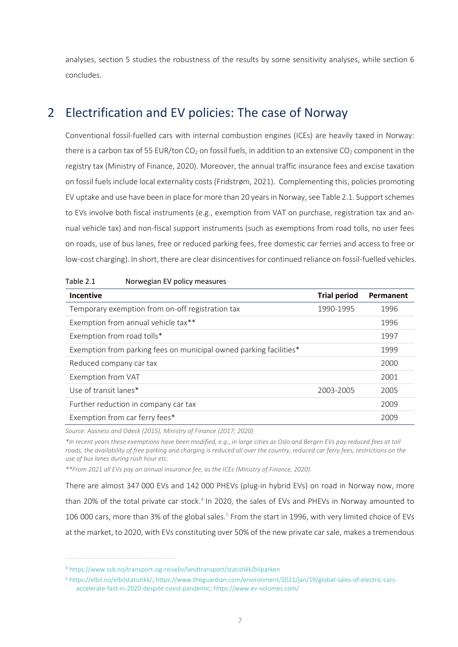analyses, section 5 studies the robustness of the results by some sensitivity analyses, while section 6 concludes.

### <span id="page-7-0"></span>2 Electrification and EV policies: The case of Norway

Conventional fossil-fuelled cars with internal combustion engines (ICEs) are heavily taxed in Norway: there is a carbon tax of 55 EUR/ton CO<sub>2</sub> on fossil fuels, in addition to an extensive CO<sub>2</sub> component in the registry tax (Ministry of Finance, 2020). Moreover, the annual traffic insurance fees and excise taxation on fossil fuels include local externality costs (Fridstrøm, 2021). Complementing this, policies promoting EV uptake and use have been in place for more than 20 years in Norway, se[e Table](#page-7-1) 2.1. Support schemes to EVs involve both fiscal instruments (e.g., exemption from VAT on purchase, registration tax and annual vehicle tax) and non-fiscal support instruments (such as exemptions from road tolls, no user fees on roads, use of bus lanes, free or reduced parking fees, free domestic car ferries and access to free or low-cost charging). In short, there are clear disincentives for continued reliance on fossil-fuelled vehicles.

| <b>Incentive</b>                                                   | <b>Trial period</b> | Permanent |
|--------------------------------------------------------------------|---------------------|-----------|
| Temporary exemption from on-off registration tax                   | 1990-1995           | 1996      |
| Exemption from annual vehicle tax**                                |                     | 1996      |
| Exemption from road tolls*                                         |                     | 1997      |
| Exemption from parking fees on municipal owned parking facilities* |                     | 1999      |
| Reduced company car tax                                            |                     | 2000      |
| Exemption from VAT                                                 |                     | 2001      |
| Use of transit lanes*                                              | 2003-2005           | 2005      |
| Further reduction in company car tax                               |                     | 2009      |
| Exemption from car ferry fees*                                     |                     | 2009      |
|                                                                    |                     |           |

<span id="page-7-1"></span>Table 2.1 Norwegian EV policy measures

*Source: Aasness and Odeck (2015), Ministry of Finance (2017; 2020)*

*\*In recent years these exemptions have been modified, e.g., in large cities as Oslo and Bergen EVs pay reduced fees at toll roads, the availability of free parking and charging is reduced all over the country, reduced car ferry fees, restrictions on the use of bus lanes during rush hour etc.*

*\*\*From 2021 all EVs pay an annual insurance fee, as the ICEs (Ministry of Finance, 2020).*

There are almost 347 000 EVs and 142 000 PHEVs (plug-in hybrid EVs) on road in Norway now, more than 20% of the total private car stock.<sup>4</sup> In 2020, the sales of EVs and PHEVs in Norway amounted to 106 000 cars, more than 3% of the global sales.<sup>5</sup> From the start in 1996, with very limited choice of EVs at the market, to 2020, with EVs constituting over 50% of the new private car sale, makes a tremendous

<sup>4</sup> <https://www.ssb.no/transport-og-reiseliv/landtransport/statistikk/bilparken>

<sup>5</sup> [https://elbil.no/elbilstatistikk/;](https://elbil.no/elbilstatistikk/) [https://www.theguardian.com/environment/2021/jan/19/global-sales-of-electric-cars](https://www.theguardian.com/environment/2021/jan/19/global-sales-of-electric-cars-accelerate-fast-in-2020-despite-covid-pandemic)[accelerate-fast-in-2020-despite-covid-pandemic;](https://www.theguardian.com/environment/2021/jan/19/global-sales-of-electric-cars-accelerate-fast-in-2020-despite-covid-pandemic)<https://www.ev-volumes.com/>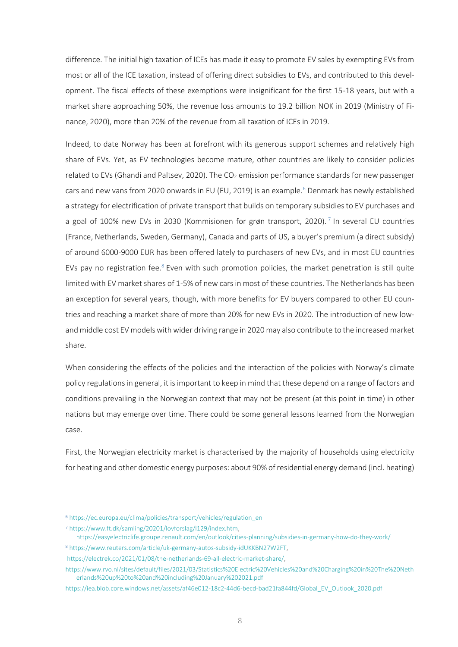difference. The initial high taxation of ICEs has made it easy to promote EV sales by exempting EVs from most or all of the ICE taxation, instead of offering direct subsidies to EVs, and contributed to this development. The fiscal effects of these exemptions were insignificant for the first 15-18 years, but with a market share approaching 50%, the revenue loss amounts to 19.2 billion NOK in 2019 (Ministry of Finance, 2020), more than 20% of the revenue from all taxation of ICEs in 2019.

Indeed, to date Norway has been at forefront with its generous support schemes and relatively high share of EVs. Yet, as EV technologies become mature, other countries are likely to consider policies related to EVs (Ghandi and Paltsev, 2020). The  $CO<sub>2</sub>$  emission performance standards for new passenger cars and new vans from 2020 onwards in EU (EU, 2019) is an example.<sup>6</sup> Denmark has newly established a strategy for electrification of private transport that builds on temporary subsidies to EV purchases and a goal of 100% new EVs in 2030 (Kommisionen for grøn transport, 2020).<sup>7</sup> In several EU countries (France, Netherlands, Sweden, Germany), Canada and parts of US, a buyer's premium (a direct subsidy) of around 6000-9000 EUR has been offered lately to purchasers of new EVs, and in most EU countries EVs pay no registration fee.<sup>8</sup> Even with such promotion policies, the market penetration is still quite limited with EV market shares of 1-5% of new cars in most of these countries. The Netherlands has been an exception for several years, though, with more benefits for EV buyers compared to other EU countries and reaching a market share of more than 20% for new EVs in 2020. The introduction of new lowand middle cost EV models with wider driving range in 2020 may also contribute to the increased market share.

When considering the effects of the policies and the interaction of the policies with Norway's climate policy regulations in general, it is important to keep in mind that these depend on a range of factors and conditions prevailing in the Norwegian context that may not be present (at this point in time) in other nations but may emerge over time. There could be some general lessons learned from the Norwegian case.

First, the Norwegian electricity market is characterised by the majority of households using electricity for heating and other domestic energy purposes: about 90% of residential energy demand (incl. heating)

<sup>8</sup> [https://www.reuters.com/article/uk-germany-autos-subsidy-idUKKBN27W2FT,](https://www.reuters.com/article/uk-germany-autos-subsidy-idUKKBN27W2FT) [https://electrek.co/2021/01/08/the-netherlands-69-all-electric-market-share/,](https://electrek.co/2021/01/08/the-netherlands-69-all-electric-market-share/)

<sup>6</sup> [https://ec.europa.eu/clima/policies/transport/vehicles/regulation\\_en](https://ec.europa.eu/clima/policies/transport/vehicles/regulation_en)

<sup>7</sup> [https://www.ft.dk/samling/20201/lovforslag/l129/index.htm,](https://www.ft.dk/samling/20201/lovforslag/l129/index.htm) 

<https://easyelectriclife.groupe.renault.com/en/outlook/cities-planning/subsidies-in-germany-how-do-they-work/>

[https://www.rvo.nl/sites/default/files/2021/03/Statistics%20Electric%20Vehicles%20and%20Charging%20in%20The%20Neth](https://www.rvo.nl/sites/default/files/2021/03/Statistics%20Electric%20Vehicles%20and%20Charging%20in%20The%20Netherlands%20up%20to%20and%20including%20January%202021.pdf) [erlands%20up%20to%20and%20including%20January%202021.pdf](https://www.rvo.nl/sites/default/files/2021/03/Statistics%20Electric%20Vehicles%20and%20Charging%20in%20The%20Netherlands%20up%20to%20and%20including%20January%202021.pdf)

[https://iea.blob.core.windows.net/assets/af46e012-18c2-44d6-becd-bad21fa844fd/Global\\_EV\\_Outlook\\_2020.pdf](https://iea.blob.core.windows.net/assets/af46e012-18c2-44d6-becd-bad21fa844fd/Global_EV_Outlook_2020.pdf)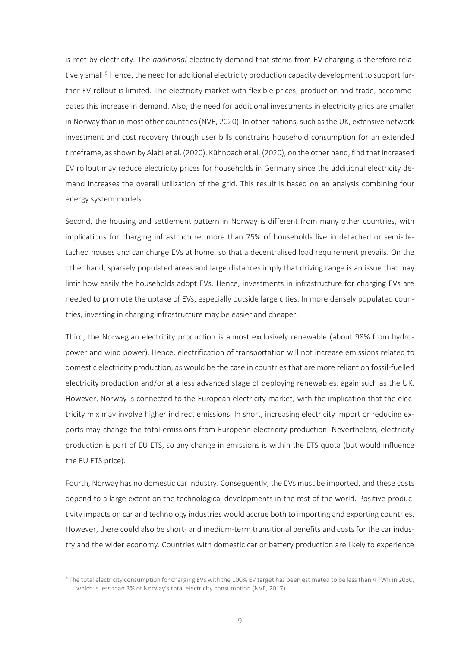is met by electricity. The *additional* electricity demand that stems from EV charging is therefore relatively small.<sup>9</sup> Hence, the need for additional electricity production capacity development to support further EV rollout is limited. The electricity market with flexible prices, production and trade, accommodates this increase in demand. Also, the need for additional investments in electricity grids are smaller in Norway than in most other countries (NVE, 2020). In other nations, such as the UK, extensive network investment and cost recovery through user bills constrains household consumption for an extended timeframe, as shown by Alabi et al. (2020). Kühnbach et al. (2020), on the other hand, find that increased EV rollout may reduce electricity prices for households in Germany since the additional electricity demand increases the overall utilization of the grid. This result is based on an analysis combining four energy system models.

Second, the housing and settlement pattern in Norway is different from many other countries, with implications for charging infrastructure: more than 75% of households live in detached or semi-detached houses and can charge EVs at home, so that a decentralised load requirement prevails. On the other hand, sparsely populated areas and large distances imply that driving range is an issue that may limit how easily the households adopt EVs. Hence, investments in infrastructure for charging EVs are needed to promote the uptake of EVs, especially outside large cities. In more densely populated countries, investing in charging infrastructure may be easier and cheaper.

Third, the Norwegian electricity production is almost exclusively renewable (about 98% from hydropower and wind power). Hence, electrification of transportation will not increase emissions related to domestic electricity production, as would be the case in countries that are more reliant on fossil-fuelled electricity production and/or at a less advanced stage of deploying renewables, again such as the UK. However, Norway is connected to the European electricity market, with the implication that the electricity mix may involve higher indirect emissions. In short, increasing electricity import or reducing exports may change the total emissions from European electricity production. Nevertheless, electricity production is part of EU ETS, so any change in emissions is within the ETS quota (but would influence the EU ETS price).

Fourth, Norway has no domestic car industry. Consequently, the EVs must be imported, and these costs depend to a large extent on the technological developments in the rest of the world. Positive productivity impacts on car and technology industries would accrue both to importing and exporting countries. However, there could also be short- and medium-term transitional benefits and costs for the car industry and the wider economy. Countries with domestic car or battery production are likely to experience

<sup>&</sup>lt;sup>9</sup> The total electricity consumption for charging EVs with the 100% EV target has been estimated to be less than 4 TWh in 2030, which is less than 3% of Norway's total electricity consumption (NVE, 2017).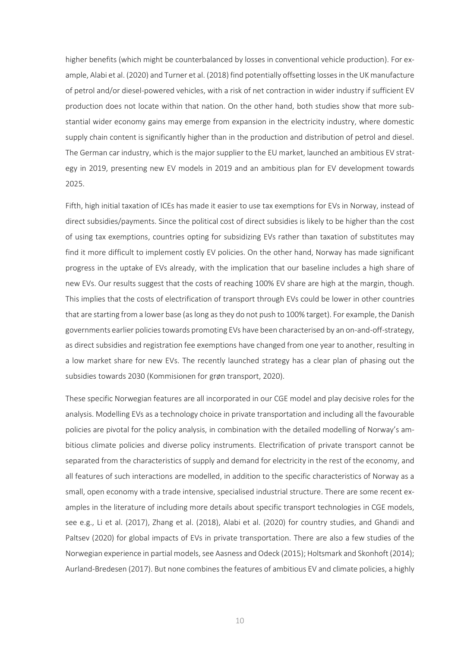higher benefits (which might be counterbalanced by losses in conventional vehicle production). For example, Alabi et al. (2020) and Turner et al. (2018) find potentially offsetting losses in the UK manufacture of petrol and/or diesel-powered vehicles, with a risk of net contraction in wider industry if sufficient EV production does not locate within that nation. On the other hand, both studies show that more substantial wider economy gains may emerge from expansion in the electricity industry, where domestic supply chain content is significantly higher than in the production and distribution of petrol and diesel. The German car industry, which is the major supplier to the EU market, launched an ambitious EV strategy in 2019, presenting new EV models in 2019 and an ambitious plan for EV development towards 2025.

Fifth, high initial taxation of ICEs has made it easier to use tax exemptions for EVs in Norway, instead of direct subsidies/payments. Since the political cost of direct subsidies is likely to be higher than the cost of using tax exemptions, countries opting for subsidizing EVs rather than taxation of substitutes may find it more difficult to implement costly EV policies. On the other hand, Norway has made significant progress in the uptake of EVs already, with the implication that our baseline includes a high share of new EVs. Our results suggest that the costs of reaching 100% EV share are high at the margin, though. This implies that the costs of electrification of transport through EVs could be lower in other countries that are starting from a lower base (as long as they do not push to 100% target). For example, the Danish governments earlier policies towards promoting EVs have been characterised by an on-and-off-strategy, as direct subsidies and registration fee exemptions have changed from one year to another, resulting in a low market share for new EVs. The recently launched strategy has a clear plan of phasing out the subsidies towards 2030 (Kommisionen for grøn transport, 2020).

These specific Norwegian features are all incorporated in our CGE model and play decisive roles for the analysis. Modelling EVs as a technology choice in private transportation and including all the favourable policies are pivotal for the policy analysis, in combination with the detailed modelling of Norway's ambitious climate policies and diverse policy instruments. Electrification of private transport cannot be separated from the characteristics of supply and demand for electricity in the rest of the economy, and all features of such interactions are modelled, in addition to the specific characteristics of Norway as a small, open economy with a trade intensive, specialised industrial structure. There are some recent examples in the literature of including more details about specific transport technologies in CGE models, see e.g., Li et al. (2017), Zhang et al. (2018), Alabi et al. (2020) for country studies, and Ghandi and Paltsev (2020) for global impacts of EVs in private transportation. There are also a few studies of the Norwegian experience in partial models, see Aasness and Odeck (2015); Holtsmark and Skonhoft (2014); Aurland-Bredesen (2017). But none combines the features of ambitious EV and climate policies, a highly

10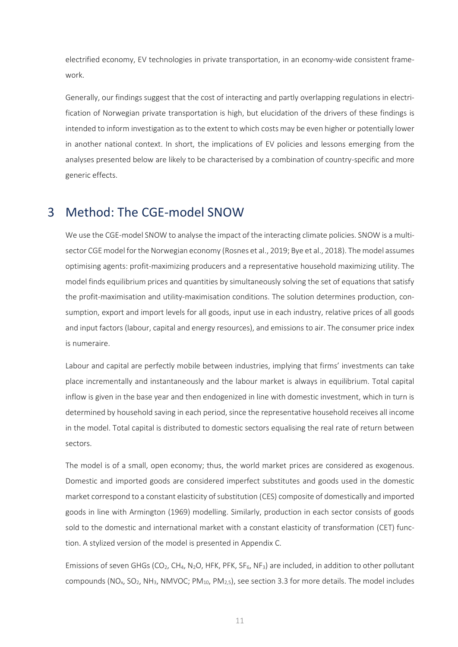electrified economy, EV technologies in private transportation, in an economy-wide consistent framework.

Generally, our findings suggest that the cost of interacting and partly overlapping regulations in electrification of Norwegian private transportation is high, but elucidation of the drivers of these findings is intended to inform investigation as to the extent to which costs may be even higher or potentially lower in another national context. In short, the implications of EV policies and lessons emerging from the analyses presented below are likely to be characterised by a combination of country-specific and more generic effects.

### 3 Method: The CGE-model SNOW

We use the CGE-model SNOW to analyse the impact of the interacting climate policies. SNOW is a multisector CGE model for the Norwegian economy (Rosnes et al., 2019; Bye et al., 2018). The model assumes optimising agents: profit-maximizing producers and a representative household maximizing utility. The model finds equilibrium prices and quantities by simultaneously solving the set of equations that satisfy the profit-maximisation and utility-maximisation conditions. The solution determines production, consumption, export and import levels for all goods, input use in each industry, relative prices of all goods and input factors (labour, capital and energy resources), and emissions to air. The consumer price index is numeraire.

Labour and capital are perfectly mobile between industries, implying that firms' investments can take place incrementally and instantaneously and the labour market is always in equilibrium. Total capital inflow is given in the base year and then endogenized in line with domestic investment, which in turn is determined by household saving in each period, since the representative household receives all income in the model. Total capital is distributed to domestic sectors equalising the real rate of return between sectors.

The model is of a small, open economy; thus, the world market prices are considered as exogenous. Domestic and imported goods are considered imperfect substitutes and goods used in the domestic market correspond to a constant elasticity of substitution (CES) composite of domestically and imported goods in line with Armington (1969) modelling. Similarly, production in each sector consists of goods sold to the domestic and international market with a constant elasticity of transformation (CET) function. A stylized version of the model is presented in Appendix C.

Emissions of seven GHGs (CO<sub>2</sub>, CH<sub>4</sub>, N<sub>2</sub>O, HFK, PFK, SF<sub>6</sub>, NF<sub>3</sub>) are included, in addition to other pollutant compounds ( $NO<sub>x</sub>$ ,  $SO<sub>2</sub>$ ,  $NH<sub>3</sub>$ ,  $NMVOC$ ;  $PM<sub>10</sub>$ ,  $PM<sub>2.5</sub>$ ), see section 3.3 for more details. The model includes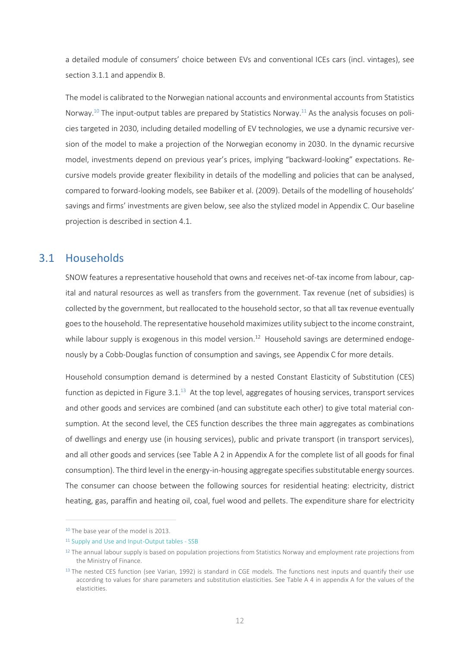a detailed module of consumers' choice between EVs and conventional ICEs cars (incl. vintages), see sectio[n 3.1.1](#page-13-0) and appendix [B.](#page-38-0)

The model is calibrated to the Norwegian national accounts and environmental accounts from Statistics Norway.<sup>10</sup> The input-output tables are prepared by Statistics Norway.<sup>11</sup> As the analysis focuses on policies targeted in 2030, including detailed modelling of EV technologies, we use a dynamic recursive version of the model to make a projection of the Norwegian economy in 2030. In the dynamic recursive model, investments depend on previous year's prices, implying "backward-looking" expectations. Recursive models provide greater flexibility in details of the modelling and policies that can be analysed, compared to forward-looking models, see Babiker et al. (2009). Details of the modelling of households' savings and firms' investments are given below, see also the stylized model in Appendix C. Our baseline projection is described in section [4.1.](#page-17-0)

#### <span id="page-12-0"></span>3.1 Households

SNOW features a representative household that owns and receives net-of-tax income from labour, capital and natural resources as well as transfers from the government. Tax revenue (net of subsidies) is collected by the government, but reallocated to the household sector, so that all tax revenue eventually goes to the household. The representative household maximizes utility subject to the income constraint, while labour supply is exogenous in this model version.<sup>12</sup> Household savings are determined endogenously by a Cobb-Douglas function of consumption and savings, see Appendix C for more details.

Household consumption demand is determined by a nested Constant Elasticity of Substitution (CES) function as depicted in [Figure 3.1.](#page-13-1) $^{13}$  At the top level, aggregates of housing services, transport services and other goods and services are combined (and can substitute each other) to give total material consumption. At the second level, the CES function describes the three main aggregates as combinations of dwellings and energy use (in housing services), public and private transport (in transport services), and all other goods and services (see [Table A 2](#page-36-0) in Appendi[x A](#page-35-0) for the complete list of all goods for final consumption). The third level in the energy-in-housing aggregate specifies substitutable energy sources. The consumer can choose between the following sources for residential heating: electricity, district heating, gas, paraffin and heating oil, coal, fuel wood and pellets. The expenditure share for electricity

<sup>&</sup>lt;sup>10</sup> The base year of the model is 2013.

<sup>&</sup>lt;sup>11</sup> [Supply and Use and Input-Output tables -](https://www.ssb.no/en/nasjonalregnskap-og-konjunkturer/tables/supply-and-use-and-input-output#published_17_November_2020) SSB

 $12$  The annual labour supply is based on population projections from Statistics Norway and employment rate projections from the Ministry of Finance.

 $<sup>13</sup>$  The nested CES function (see Varian, 1992) is standard in CGE models. The functions nest inputs and quantify their use</sup> according to values for share parameters and substitution elasticities. See [Table A 4](#page-37-0) in appendi[x A](#page-35-0) for the values of the elasticities.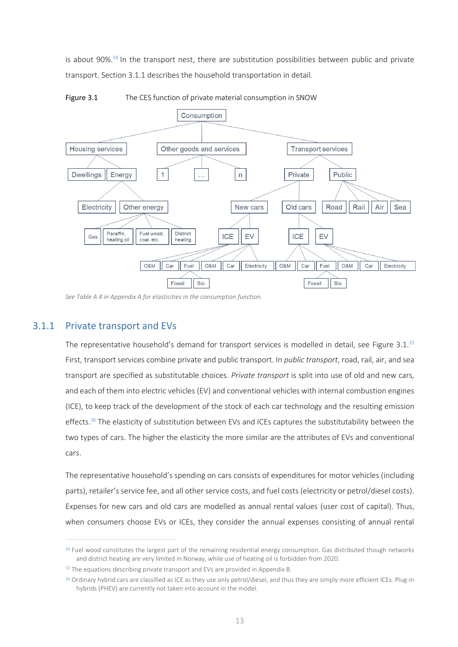is about 90%.<sup>14</sup> In the transport nest, there are substitution possibilities between public and private transport. Sectio[n 3.1.1](#page-13-0) describes the household transportation in detail.



<span id="page-13-1"></span>Figure 3.1 The CES function of private material consumption in SNOW

#### 3.1.1 Private transport and EVs

The representative household's demand for transport services is modelled in detail, see [Figure 3.1.](#page-13-1)<sup>15</sup> First, transport services combine private and public transport. In *public transport*, road, rail, air, and sea transport are specified as substitutable choices. *Private transport* is split into use of old and new cars, and each of them into electric vehicles (EV) and conventional vehicles with internal combustion engines (ICE), to keep track of the development of the stock of each car technology and the resulting emission effects. <sup>16</sup> The elasticity of substitution between EVs and ICEs captures the substitutability between the two types of cars. The higher the elasticity the more similar are the attributes of EVs and conventional cars.

The representative household's spending on cars consists of expenditures for motor vehicles (including parts), retailer's service fee, and all other service costs, and fuel costs (electricity or petrol/diesel costs). Expenses for new cars and old cars are modelled as annual rental values (user cost of capital). Thus, when consumers choose EVs or ICEs, they consider the annual expenses consisting of annual rental

<span id="page-13-0"></span>*Se[e Table A 4](#page-37-0) in Appendix A for elasticities in the consumption function.* 

<sup>&</sup>lt;sup>14</sup> Fuel wood constitutes the largest part of the remaining residential energy consumption. Gas distributed though networks and district heating are very limited in Norway, while use of heating oil is forbidden from 2020.

 $15$  The equations describing private transport and EVs are provided in Appendix B.

<sup>&</sup>lt;sup>16</sup> Ordinary hybrid cars are classified as ICE as they use only petrol/diesel, and thus they are simply more efficient ICEs. Plug-in hybrids (PHEV) are currently not taken into account in the model.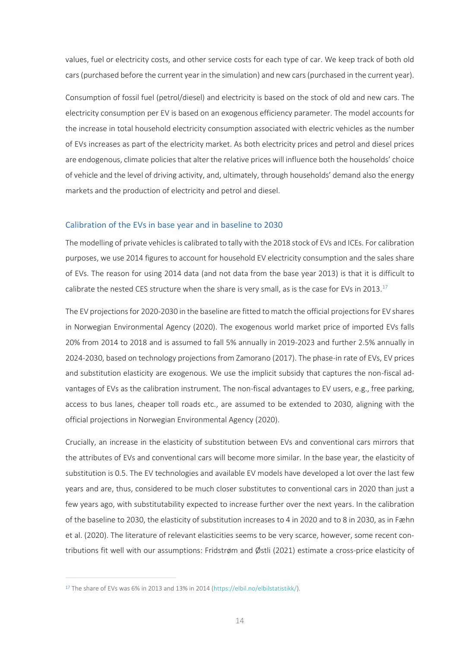values, fuel or electricity costs, and other service costs for each type of car. We keep track of both old cars (purchased before the current year in the simulation) and new cars (purchased in the current year).

Consumption of fossil fuel (petrol/diesel) and electricity is based on the stock of old and new cars. The electricity consumption per EV is based on an exogenous efficiency parameter. The model accounts for the increase in total household electricity consumption associated with electric vehicles as the number of EVs increases as part of the electricity market. As both electricity prices and petrol and diesel prices are endogenous, climate policies that alter the relative prices will influence both the households' choice of vehicle and the level of driving activity, and, ultimately, through households' demand also the energy markets and the production of electricity and petrol and diesel.

#### Calibration of the EVs in base year and in baseline to 2030

The modelling of private vehicles is calibrated to tally with the 2018 stock of EVs and ICEs. For calibration purposes, we use 2014 figures to account for household EV electricity consumption and the sales share of EVs. The reason for using 2014 data (and not data from the base year 2013) is that it is difficult to calibrate the nested CES structure when the share is very small, as is the case for EVs in 2013.<sup>17</sup>

The EV projections for 2020-2030 in the baseline are fitted to match the official projections for EV shares in Norwegian Environmental Agency (2020). The exogenous world market price of imported EVs falls 20% from 2014 to 2018 and is assumed to fall 5% annually in 2019-2023 and further 2.5% annually in 2024-2030, based on technology projections from Zamorano (2017). The phase-in rate of EVs, EV prices and substitution elasticity are exogenous. We use the implicit subsidy that captures the non-fiscal advantages of EVs as the calibration instrument. The non-fiscal advantages to EV users, e.g., free parking, access to bus lanes, cheaper toll roads etc., are assumed to be extended to 2030, aligning with the official projections in Norwegian Environmental Agency (2020).

Crucially, an increase in the elasticity of substitution between EVs and conventional cars mirrors that the attributes of EVs and conventional cars will become more similar. In the base year, the elasticity of substitution is 0.5. The EV technologies and available EV models have developed a lot over the last few years and are, thus, considered to be much closer substitutes to conventional cars in 2020 than just a few years ago, with substitutability expected to increase further over the next years. In the calibration of the baseline to 2030, the elasticity of substitution increases to 4 in 2020 and to 8 in 2030, as in Fæhn et al. (2020). The literature of relevant elasticities seems to be very scarce, however, some recent contributions fit well with our assumptions: Fridstrøm and Østli (2021) estimate a cross-price elasticity of

<sup>17</sup> The share of EVs was 6% in 2013 and 13% in 2014 [\(https://elbil.no/elbilstatistikk/\)](https://elbil.no/elbilstatistikk/).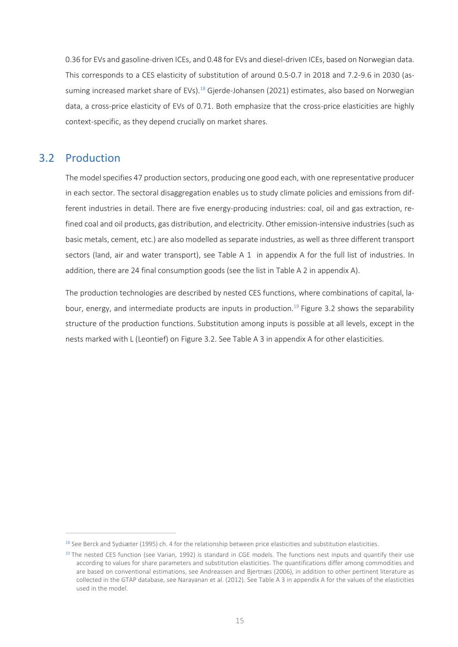0.36 for EVs and gasoline-driven ICEs, and 0.48 for EVs and diesel-driven ICEs, based on Norwegian data. This corresponds to a CES elasticity of substitution of around 0.5-0.7 in 2018 and 7.2-9.6 in 2030 (assuming increased market share of EVs).<sup>18</sup> Gjerde-Johansen (2021) estimates, also based on Norwegian data, a cross-price elasticity of EVs of 0.71. Both emphasize that the cross-price elasticities are highly context-specific, as they depend crucially on market shares.

#### 3.2 Production

The model specifies 47 production sectors, producing one good each, with one representative producer in each sector. The sectoral disaggregation enables us to study climate policies and emissions from different industries in detail. There are five energy-producing industries: coal, oil and gas extraction, refined coal and oil products, gas distribution, and electricity. Other emission-intensive industries (such as basic metals, cement, etc.) are also modelled as separate industries, as well as three different transport sectors (land, air and water transport), see [Table A 1](#page-35-1) in appendix [A](#page-35-0) for the full list of industries. In addition, there are 24 final consumption goods (see the list in [Table A 2](#page-36-0) in appendix [A\)](#page-35-0).

The production technologies are described by nested CES functions, where combinations of capital, la-bour, energy, and intermediate products are inputs in production.<sup>19</sup> [Figure 3.2](#page-16-0) shows the separability structure of the production functions. Substitution among inputs is possible at all levels, except in the nests marked with L (Leontief) on [Figure 3.2.](#page-16-0) Se[e Table](#page-37-1) A 3 in appendi[x A](#page-35-0) for other elasticities.

 $18$  See Berck and Sydsæter (1995) ch. 4 for the relationship between price elasticities and substitution elasticities.

 $<sup>19</sup>$  The nested CES function (see Varian, 1992) is standard in CGE models. The functions nest inputs and quantify their use</sup> according to values for share parameters and substitution elasticities. The quantifications differ among commodities and are based on conventional estimations, see Andreassen and Bjertnæs (2006), in addition to other pertinent literature as collected in the GTAP database, see Narayanan et al. (2012). See [Table](#page-37-1) A 3 in appendi[x A](#page-35-0) for the values of the elasticities used in the model.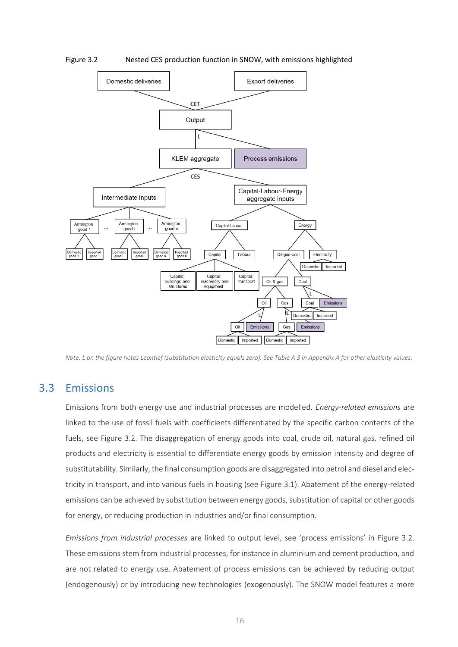

<span id="page-16-0"></span>Figure 3.2 Nested CES production function in SNOW, with emissions highlighted

*Note: L on the figure notes Leontief (substitution elasticity equals zero). Se[e Table](#page-37-1) A 3 in Appendix A for other elasticity values.* 

#### 3.3 Emissions

Emissions from both energy use and industrial processes are modelled. *Energy-related emissions* are linked to the use of fossil fuels with coefficients differentiated by the specific carbon contents of the fuels, see [Figure 3.2.](#page-16-0) The disaggregation of energy goods into coal, crude oil, natural gas, refined oil products and electricity is essential to differentiate energy goods by emission intensity and degree of substitutability. Similarly, the final consumption goods are disaggregated into petrol and diesel and electricity in transport, and into various fuels in housing (see [Figure 3.1\)](#page-13-1). Abatement of the energy-related emissions can be achieved by substitution between energy goods, substitution of capital or other goods for energy, or reducing production in industries and/or final consumption.

*Emissions from industrial processes* are linked to output level, see 'process emissions' in [Figure 3.2.](#page-16-0) These emissions stem from industrial processes, for instance in aluminium and cement production, and are not related to energy use. Abatement of process emissions can be achieved by reducing output (endogenously) or by introducing new technologies (exogenously). The SNOW model features a more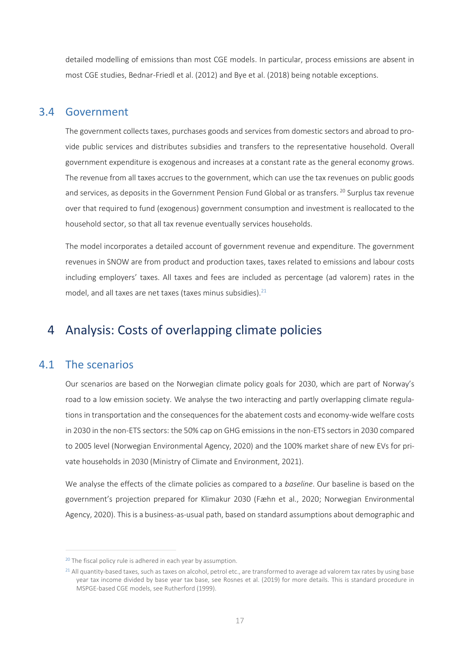detailed modelling of emissions than most CGE models. In particular, process emissions are absent in most CGE studies, Bednar-Friedl et al. (2012) and Bye et al. (2018) being notable exceptions.

#### 3.4 Government

The government collects taxes, purchases goods and services from domestic sectors and abroad to provide public services and distributes subsidies and transfers to the representative household. Overall government expenditure is exogenous and increases at a constant rate as the general economy grows. The revenue from all taxes accrues to the government, which can use the tax revenues on public goods and services, as deposits in the Government Pension Fund Global or as transfers. <sup>20</sup> Surplus tax revenue over that required to fund (exogenous) government consumption and investment is reallocated to the household sector, so that all tax revenue eventually services households.

The model incorporates a detailed account of government revenue and expenditure. The government revenues in SNOW are from product and production taxes, taxes related to emissions and labour costs including employers' taxes. All taxes and fees are included as percentage (ad valorem) rates in the model, and all taxes are net taxes (taxes minus subsidies). $21$ 

## 4 Analysis: Costs of overlapping climate policies

#### <span id="page-17-0"></span>4.1 The scenarios

Our scenarios are based on the Norwegian climate policy goals for 2030, which are part of Norway's road to a low emission society. We analyse the two interacting and partly overlapping climate regulations in transportation and the consequences for the abatement costs and economy-wide welfare costs in 2030 in the non-ETS sectors: the 50% cap on GHG emissions in the non-ETS sectors in 2030 compared to 2005 level (Norwegian Environmental Agency, 2020) and the 100% market share of new EVs for private households in 2030 (Ministry of Climate and Environment, 2021).

We analyse the effects of the climate policies as compared to a *baseline*. Our baseline is based on the government's projection prepared for Klimakur 2030 (Fæhn et al., 2020; Norwegian Environmental Agency, 2020). This is a business-as-usual path, based on standard assumptions about demographic and

<sup>&</sup>lt;sup>20</sup> The fiscal policy rule is adhered in each year by assumption.

<sup>&</sup>lt;sup>21</sup> All quantity-based taxes, such as taxes on alcohol, petrol etc., are transformed to average ad valorem tax rates by using base year tax income divided by base year tax base, see Rosnes et al. (2019) for more details. This is standard procedure in MSPGE-based CGE models, see Rutherford (1999).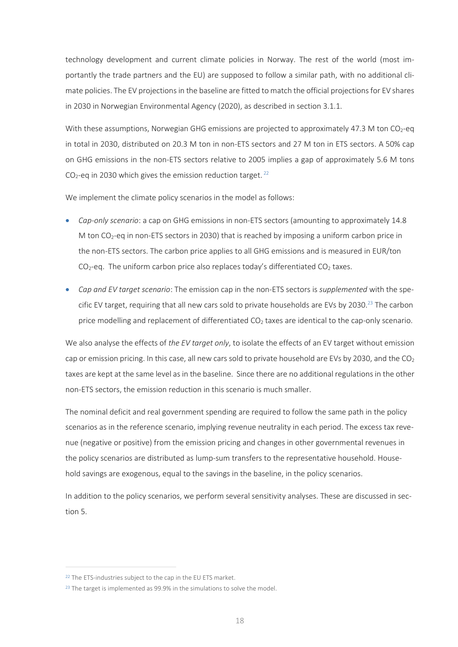technology development and current climate policies in Norway. The rest of the world (most importantly the trade partners and the EU) are supposed to follow a similar path, with no additional climate policies. The EV projections in the baseline are fitted to match the official projections for EV shares in 2030 in Norwegian Environmental Agency (2020), as described in section [3.1.1.](#page-13-0)

With these assumptions, Norwegian GHG emissions are projected to approximately 47.3 M ton  $CO<sub>2</sub>$ -eq in total in 2030, distributed on 20.3 M ton in non-ETS sectors and 27 M ton in ETS sectors. A 50% cap on GHG emissions in the non-ETS sectors relative to 2005 implies a gap of approximately 5.6 M tons  $CO<sub>2</sub>$ -eq in 2030 which gives the emission reduction target.<sup>22</sup>

We implement the climate policy scenarios in the model as follows:

- *Cap-only scenario*: a cap on GHG emissions in non-ETS sectors (amounting to approximately 14.8 M ton  $CO<sub>2</sub>$ -eq in non-ETS sectors in 2030) that is reached by imposing a uniform carbon price in the non-ETS sectors. The carbon price applies to all GHG emissions and is measured in EUR/ton  $CO<sub>2</sub>$ -eq. The uniform carbon price also replaces today's differentiated CO<sub>2</sub> taxes.
- *Cap and EV target scenario*: The emission cap in the non-ETS sectors is *supplemented* with the specific EV target, requiring that all new cars sold to private households are EVs by 2030.<sup>23</sup> The carbon price modelling and replacement of differentiated CO<sub>2</sub> taxes are identical to the cap-only scenario.

We also analyse the effects of *the EV target only*, to isolate the effects of an EV target without emission cap or emission pricing. In this case, all new cars sold to private household are EVs by 2030, and the  $CO<sub>2</sub>$ taxes are kept at the same level as in the baseline. Since there are no additional regulations in the other non-ETS sectors, the emission reduction in this scenario is much smaller.

The nominal deficit and real government spending are required to follow the same path in the policy scenarios as in the reference scenario, implying revenue neutrality in each period. The excess tax revenue (negative or positive) from the emission pricing and changes in other governmental revenues in the policy scenarios are distributed as lump-sum transfers to the representative household. Household savings are exogenous, equal to the savings in the baseline, in the policy scenarios.

In addition to the policy scenarios, we perform several sensitivity analyses. These are discussed in section [5.](#page-24-0)

<sup>&</sup>lt;sup>22</sup> The ETS-industries subject to the cap in the EU ETS market.

 $23$  The target is implemented as 99.9% in the simulations to solve the model.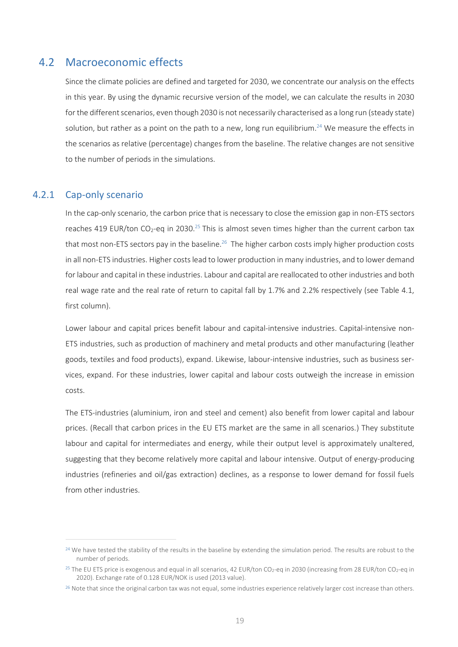#### 4.2 Macroeconomic effects

Since the climate policies are defined and targeted for 2030, we concentrate our analysis on the effects in this year. By using the dynamic recursive version of the model, we can calculate the results in 2030 for the different scenarios, even though 2030 is not necessarily characterised as a long run (steady state) solution, but rather as a point on the path to a new, long run equilibrium.<sup>24</sup> We measure the effects in the scenarios as relative (percentage) changes from the baseline. The relative changes are not sensitive to the number of periods in the simulations.

#### 4.2.1 Cap-only scenario

In the cap-only scenario, the carbon price that is necessary to close the emission gap in non-ETS sectors reaches 419 EUR/ton CO<sub>2</sub>-eq in 2030.<sup>25</sup> This is almost seven times higher than the current carbon tax that most non-ETS sectors pay in the baseline.<sup>26</sup> The higher carbon costs imply higher production costs in all non-ETS industries. Higher costs lead to lower production in many industries, and to lower demand for labour and capital in these industries. Labour and capital are reallocated to other industries and both real wage rate and the real rate of return to capital fall by 1.7% and 2.2% respectively (see [Table 4.1,](#page-20-0) first column).

Lower labour and capital prices benefit labour and capital-intensive industries. Capital-intensive non-ETS industries, such as production of machinery and metal products and other manufacturing (leather goods, textiles and food products), expand. Likewise, labour-intensive industries, such as business services, expand. For these industries, lower capital and labour costs outweigh the increase in emission costs.

The ETS-industries (aluminium, iron and steel and cement) also benefit from lower capital and labour prices. (Recall that carbon prices in the EU ETS market are the same in all scenarios.) They substitute labour and capital for intermediates and energy, while their output level is approximately unaltered, suggesting that they become relatively more capital and labour intensive. Output of energy-producing industries (refineries and oil/gas extraction) declines, as a response to lower demand for fossil fuels from other industries.

<sup>&</sup>lt;sup>24</sup> We have tested the stability of the results in the baseline by extending the simulation period. The results are robust to the number of periods.

<sup>&</sup>lt;sup>25</sup> The EU ETS price is exogenous and equal in all scenarios, 42 EUR/ton CO<sub>2</sub>-eq in 2030 (increasing from 28 EUR/ton CO<sub>2</sub>-eq in 2020). Exchange rate of 0.128 EUR/NOK is used (2013 value).

<sup>&</sup>lt;sup>26</sup> Note that since the original carbon tax was not equal, some industries experience relatively larger cost increase than others.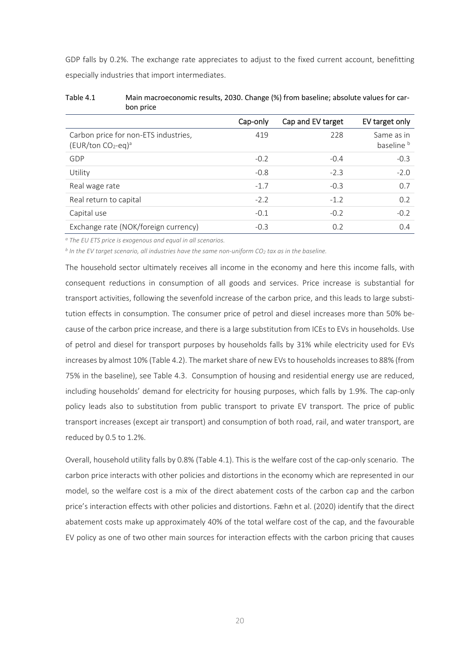GDP falls by 0.2%. The exchange rate appreciates to adjust to the fixed current account, benefitting especially industries that import intermediates.

| <b>DUIT PITCE</b>                                           |          |                   |                                     |
|-------------------------------------------------------------|----------|-------------------|-------------------------------------|
|                                                             | Cap-only | Cap and EV target | EV target only                      |
| Carbon price for non-ETS industries,<br>$(EUR/ton CO2-eq)a$ | 419      | 228               | Same as in<br>baseline <sup>b</sup> |
| GDP                                                         | $-0.2$   | $-0.4$            | $-0.3$                              |
| Utility                                                     | $-0.8$   | $-2.3$            | $-2.0$                              |
| Real wage rate                                              | $-1.7$   | $-0.3$            | 0.7                                 |
| Real return to capital                                      | $-2.2$   | $-1.2$            | 0.2                                 |
| Capital use                                                 | $-0.1$   | $-0.2$            | $-0.2$                              |
| Exchange rate (NOK/foreign currency)                        | $-0.3$   | 0.2               | 0.4                                 |

<span id="page-20-0"></span>Table 4.1 Main macroeconomic results, 2030. Change (%) from baseline; absolute values for carbon price

*<sup>a</sup> The EU ETS price is exogenous and equal in all scenarios.* 

*b In the EV target scenario, all industries have the same non-uniform CO<sup>2</sup> tax as in the baseline.* 

The household sector ultimately receives all income in the economy and here this income falls, with consequent reductions in consumption of all goods and services. Price increase is substantial for transport activities, following the sevenfold increase of the carbon price, and this leads to large substitution effects in consumption. The consumer price of petrol and diesel increases more than 50% because of the carbon price increase, and there is a large substitution from ICEs to EVs in households. Use of petrol and diesel for transport purposes by households falls by 31% while electricity used for EVs increases by almost 10% [\(Table 4.2\)](#page-21-0). The market share of new EVs to households increases to 88% (from 75% in the baseline), see [Table 4.3.](#page-22-0) Consumption of housing and residential energy use are reduced, including households' demand for electricity for housing purposes, which falls by 1.9%. The cap-only policy leads also to substitution from public transport to private EV transport. The price of public transport increases (except air transport) and consumption of both road, rail, and water transport, are reduced by 0.5 to 1.2%.

Overall, household utility falls by 0.8% [\(Table 4.1\)](#page-20-0). This is the welfare cost of the cap-only scenario. The carbon price interacts with other policies and distortions in the economy which are represented in our model, so the welfare cost is a mix of the direct abatement costs of the carbon cap and the carbon price's interaction effects with other policies and distortions. Fæhn et al. (2020) identify that the direct abatement costs make up approximately 40% of the total welfare cost of the cap, and the favourable EV policy as one of two other main sources for interaction effects with the carbon pricing that causes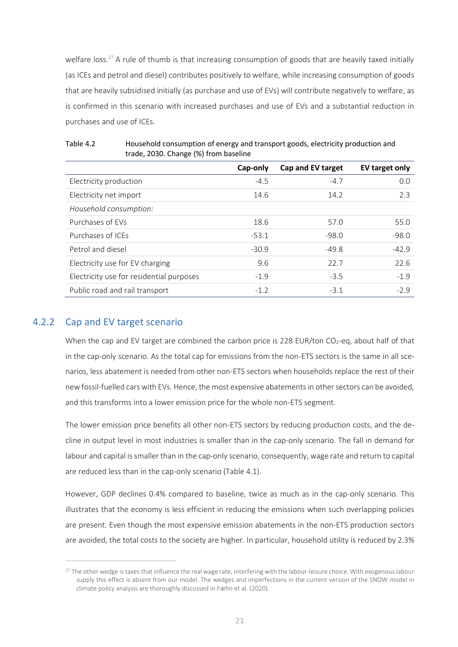welfare loss.<sup>27</sup> A rule of thumb is that increasing consumption of goods that are heavily taxed initially (as ICEs and petrol and diesel) contributes positively to welfare, while increasing consumption of goods that are heavily subsidised initially (as purchase and use of EVs) will contribute negatively to welfare, as is confirmed in this scenario with increased purchases and use of EVs and a substantial reduction in purchases and use of ICEs.

|                                          | Cap-only | Cap and EV target | EV target only |
|------------------------------------------|----------|-------------------|----------------|
| Electricity production                   | $-4.5$   | $-4.7$            | 0.0            |
| Electricity net import                   | 14.6     | 14.2              | 2.3            |
| Household consumption:                   |          |                   |                |
| Purchases of EVs                         | 18.6     | 57.0              | 55.0           |
| Purchases of ICEs                        | $-53.1$  | $-98.0$           | $-98.0$        |
| Petrol and diesel                        | $-30.9$  | $-49.8$           | $-42.9$        |
| Electricity use for EV charging          | 9.6      | 22.7              | 22.6           |
| Electricity use for residential purposes | $-1.9$   | $-3.5$            | $-1.9$         |
| Public road and rail transport           | $-1.2$   | $-3.1$            | $-2.9$         |

<span id="page-21-0"></span>

| Table 4.2 | Household consumption of energy and transport goods, electricity production and |
|-----------|---------------------------------------------------------------------------------|
|           | trade, 2030. Change (%) from baseline                                           |

#### 4.2.2 Cap and EV target scenario

When the cap and EV target are combined the carbon price is 228 EUR/ton  $CO<sub>2</sub>$ -eq, about half of that in the cap-only scenario. As the total cap for emissions from the non-ETS sectors is the same in all scenarios, less abatement is needed from other non-ETS sectors when households replace the rest of their new fossil-fuelled cars with EVs. Hence, the most expensive abatements in other sectors can be avoided, and this transforms into a lower emission price for the whole non-ETS segment.

The lower emission price benefits all other non-ETS sectors by reducing production costs, and the decline in output level in most industries is smaller than in the cap-only scenario. The fall in demand for labour and capital is smaller than in the cap-only scenario, consequently, wage rate and return to capital are reduced less than in the cap-only scenario [\(Table 4.1\)](#page-20-0).

However, GDP declines 0.4% compared to baseline, twice as much as in the cap-only scenario. This illustrates that the economy is less efficient in reducing the emissions when such overlapping policies are present. Even though the most expensive emission abatements in the non-ETS production sectors are avoided, the total costs to the society are higher. In particular, household utility is reduced by 2.3%

<sup>&</sup>lt;sup>27</sup> The other wedge is taxes that influence the real wage rate, interfering with the labour-leisure choice. With exogenous labour supply this effect is absent from our model. The wedges and imperfections in the current version of the SNOW model in climate policy analysis are thoroughly discussed in Fæhn et al. (2020).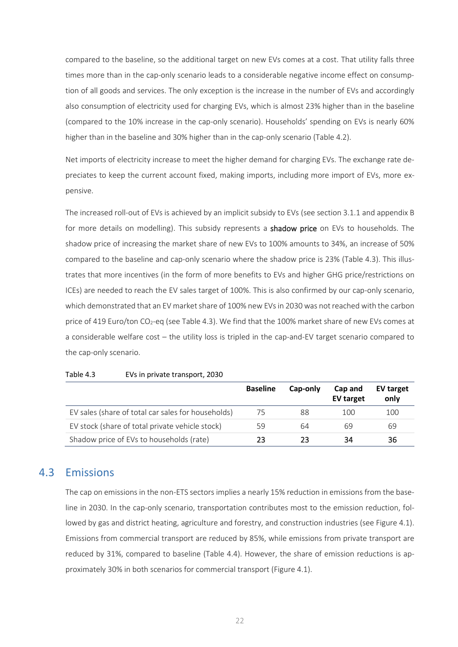compared to the baseline, so the additional target on new EVs comes at a cost. That utility falls three times more than in the cap-only scenario leads to a considerable negative income effect on consumption of all goods and services. The only exception is the increase in the number of EVs and accordingly also consumption of electricity used for charging EVs, which is almost 23% higher than in the baseline (compared to the 10% increase in the cap-only scenario). Households' spending on EVs is nearly 60% higher than in the baseline and 30% higher than in the cap-only scenario [\(Table 4.2\)](#page-21-0).

Net imports of electricity increase to meet the higher demand for charging EVs. The exchange rate depreciates to keep the current account fixed, making imports, including more import of EVs, more expensive.

The increased roll-out of EVs is achieved by an implicit subsidy to EVs (see section 3.1.1 and appendi[x B](#page-38-0) for more details on modelling). This subsidy represents a **shadow price** on EVs to households. The shadow price of increasing the market share of new EVs to 100% amounts to 34%, an increase of 50% compared to the baseline and cap-only scenario where the shadow price is 23% [\(Table 4.3\)](#page-22-0). This illustrates that more incentives (in the form of more benefits to EVs and higher GHG price/restrictions on ICEs) are needed to reach the EV sales target of 100%. This is also confirmed by our cap-only scenario, which demonstrated that an EV market share of 100% new EVs in 2030 was not reached with the carbon price of 419 Euro/ton CO<sub>2</sub>-eq (se[e Table 4.3\)](#page-22-0). We find that the 100% market share of new EVs comes at a considerable welfare cost – the utility loss is tripled in the cap-and-EV target scenario compared to the cap-only scenario.

|                                                    | <b>Baseline</b> | Cap-only | Cap and<br><b>EV target</b> | EV target<br>only |
|----------------------------------------------------|-----------------|----------|-----------------------------|-------------------|
| EV sales (share of total car sales for households) | 75              | 88       | 100                         | 100               |
| EV stock (share of total private vehicle stock)    | 59              | 64       | 69                          | 69                |
| Shadow price of EVs to households (rate)           | 23              | 23       | 34                          | 36                |

<span id="page-22-0"></span>Table 4.3 EVs in private transport, 2030

#### 4.3 Emissions

The cap on emissions in the non-ETS sectors implies a nearly 15% reduction in emissions from the baseline in 2030. In the cap-only scenario, transportation contributes most to the emission reduction, followed by gas and district heating, agriculture and forestry, and construction industries (se[e Figure 4.1\)](#page-23-0). Emissions from commercial transport are reduced by 85%, while emissions from private transport are reduced by 31%, compared to baseline [\(Table 4.4\)](#page-23-1). However, the share of emission reductions is approximately 30% in both scenarios for commercial transport [\(Figure 4.1\)](#page-23-0).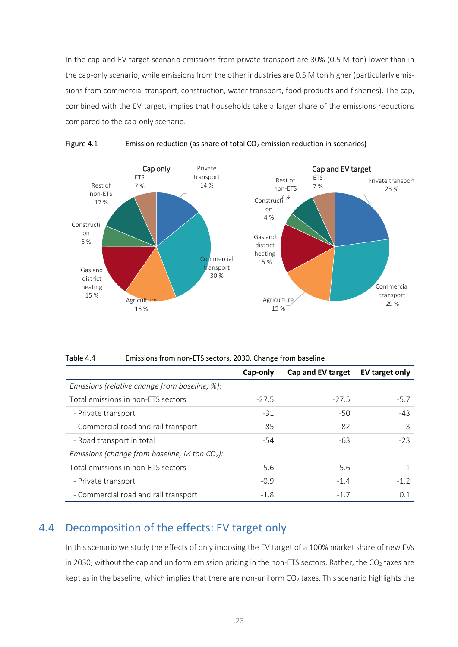In the cap-and-EV target scenario emissions from private transport are 30% (0.5 M ton) lower than in the cap-only scenario, while emissions from the other industries are 0.5 M ton higher (particularly emissions from commercial transport, construction, water transport, food products and fisheries). The cap, combined with the EV target, implies that households take a larger share of the emissions reductions compared to the cap-only scenario.



<span id="page-23-0"></span>

<span id="page-23-1"></span>Table 4.4 Emissions from non-ETS sectors, 2030. Change from baseline

|                                                 | Cap-only | Cap and EV target | EV target only |
|-------------------------------------------------|----------|-------------------|----------------|
| Emissions (relative change from baseline, %):   |          |                   |                |
| Total emissions in non-ETS sectors              | $-27.5$  | $-27.5$           | $-5.7$         |
| - Private transport                             | $-31$    | -50               | $-43$          |
| - Commercial road and rail transport            | $-85$    | -82               | 3              |
| - Road transport in total                       | -54      | -63               | $-23$          |
| Emissions (change from baseline, M ton $CO2$ ): |          |                   |                |
| Total emissions in non-ETS sectors              | $-5.6$   | $-5.6$            | $-1$           |
| - Private transport                             | $-0.9$   | $-1.4$            | $-1.2$         |
| - Commercial road and rail transport            | $-1.8$   | $-1.7$            | 0.1            |

### 4.4 Decomposition of the effects: EV target only

In this scenario we study the effects of only imposing the EV target of a 100% market share of new EVs in 2030, without the cap and uniform emission pricing in the non-ETS sectors. Rather, the CO<sub>2</sub> taxes are kept as in the baseline, which implies that there are non-uniform  $CO<sub>2</sub>$  taxes. This scenario highlights the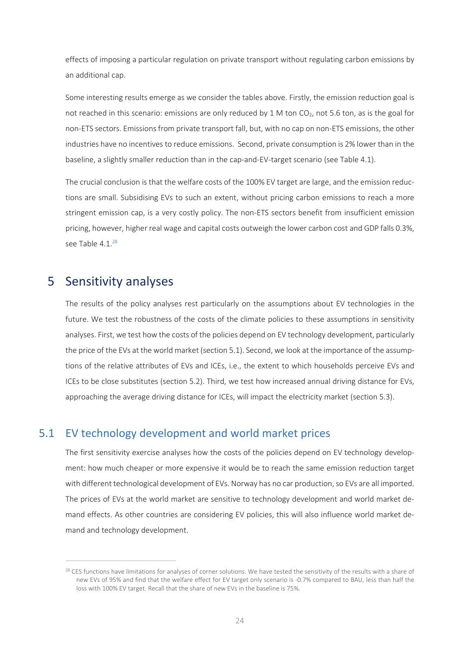effects of imposing a particular regulation on private transport without regulating carbon emissions by an additional cap.

Some interesting results emerge as we consider the tables above. Firstly, the emission reduction goal is not reached in this scenario: emissions are only reduced by 1 M ton  $CO<sub>2</sub>$ , not 5.6 ton, as is the goal for non-ETS sectors. Emissionsfrom private transport fall, but, with no cap on non-ETS emissions, the other industries have no incentives to reduce emissions. Second, private consumption is 2% lower than in the baseline, a slightly smaller reduction than in the cap-and-EV-target scenario (see [Table 4.1\)](#page-20-0).

The crucial conclusion is that the welfare costs of the 100% EV target are large, and the emission reductions are small. Subsidising EVs to such an extent, without pricing carbon emissions to reach a more stringent emission cap, is a very costly policy. The non-ETS sectors benefit from insufficient emission pricing, however, higher real wage and capital costs outweigh the lower carbon cost and GDP falls 0.3%, see [Table 4.1.](#page-20-0)<sup>28</sup>

### <span id="page-24-0"></span>5 Sensitivity analyses

The results of the policy analyses rest particularly on the assumptions about EV technologies in the future. We test the robustness of the costs of the climate policies to these assumptions in sensitivity analyses. First, we test how the costs of the policies depend on EV technology development, particularly the price of the EVs at the world market (section [5.1\)](#page-24-1). Second, we look at the importance of the assumptions of the relative attributes of EVs and ICEs, i.e., the extent to which households perceive EVs and ICEs to be close substitutes (section [5.2\)](#page-27-0). Third, we test how increased annual driving distance for EVs, approaching the average driving distance for ICEs, will impact the electricity market (section [5.3\)](#page-28-0).

#### <span id="page-24-1"></span>5.1 EV technology development and world market prices

The first sensitivity exercise analyses how the costs of the policies depend on EV technology development: how much cheaper or more expensive it would be to reach the same emission reduction target with different technological development of EVs. Norway has no car production, so EVs are all imported. The prices of EVs at the world market are sensitive to technology development and world market demand effects. As other countries are considering EV policies, this will also influence world market demand and technology development.

 $28$  CES functions have limitations for analyses of corner solutions. We have tested the sensitivity of the results with a share of new EVs of 95% and find that the welfare effect for EV target only scenario is -0.7% compared to BAU, less than half the loss with 100% EV target. Recall that the share of new EVs in the baseline is 75%.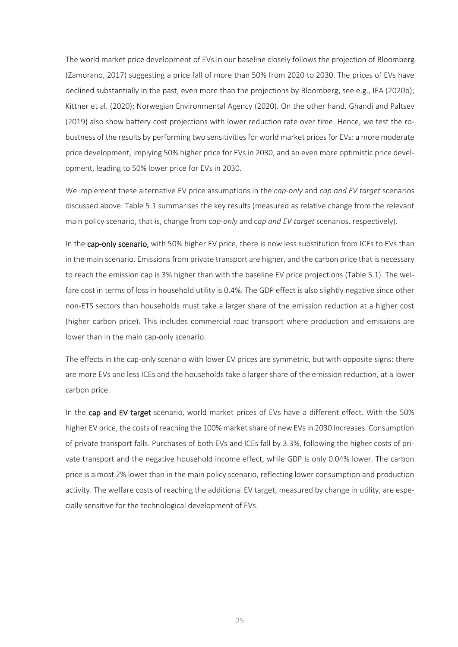The world market price development of EVs in our baseline closely follows the projection of Bloomberg (Zamorano, 2017) suggesting a price fall of more than 50% from 2020 to 2030. The prices of EVs have declined substantially in the past, even more than the projections by Bloomberg, see e.g., IEA (2020b); Kittner et al. (2020); Norwegian Environmental Agency (2020). On the other hand, Ghandi and Paltsev (2019) also show battery cost projections with lower reduction rate over time. Hence, we test the robustness of the results by performing two sensitivities for world market prices for EVs: a more moderate price development, implying 50% higher price for EVs in 2030, and an even more optimistic price development, leading to 50% lower price for EVs in 2030.

We implement these alternative EV price assumptions in the *cap-only* and *cap and EV target* scenarios discussed above. [Table 5.1](#page-26-0) summarises the key results (measured as relative change from the relevant main policy scenario, that is, change from c*ap-only* and c*ap and EV target* scenarios, respectively).

In the cap-only scenario, with 50% higher EV price, there is now less substitution from ICEs to EVs than in the main scenario. Emissions from private transport are higher, and the carbon price that is necessary to reach the emission cap is 3% higher than with the baseline EV price projections [\(Table 5.1\)](#page-26-0). The welfare cost in terms of loss in household utility is 0.4%. The GDP effect is also slightly negative since other non-ETS sectors than households must take a larger share of the emission reduction at a higher cost (higher carbon price). This includes commercial road transport where production and emissions are lower than in the main cap-only scenario.

The effects in the cap-only scenario with lower EV prices are symmetric, but with opposite signs: there are more EVs and less ICEs and the households take a larger share of the emission reduction, at a lower carbon price.

In the cap and EV target scenario, world market prices of EVs have a different effect. With the 50% higher EV price, the costs of reaching the 100% market share of new EVs in 2030 increases. Consumption of private transport falls. Purchases of both EVs and ICEs fall by 3.3%, following the higher costs of private transport and the negative household income effect, while GDP is only 0.04% lower. The carbon price is almost 2% lower than in the main policy scenario, reflecting lower consumption and production activity. The welfare costs of reaching the additional EV target, measured by change in utility, are especially sensitive for the technological development of EVs.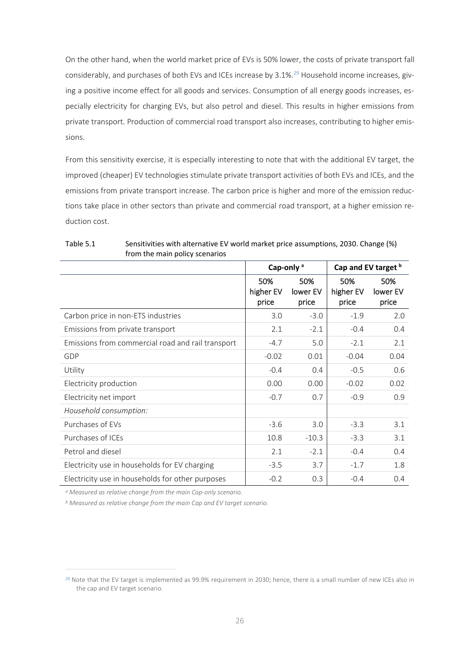On the other hand, when the world market price of EVs is 50% lower, the costs of private transport fall considerably, and purchases of both EVs and ICEs increase by 3.1%.<sup>29</sup> Household income increases, giving a positive income effect for all goods and services. Consumption of all energy goods increases, especially electricity for charging EVs, but also petrol and diesel. This results in higher emissions from private transport. Production of commercial road transport also increases, contributing to higher emissions.

From this sensitivity exercise, it is especially interesting to note that with the additional EV target, the improved (cheaper) EV technologies stimulate private transport activities of both EVs and ICEs, and the emissions from private transport increase. The carbon price is higher and more of the emission reductions take place in other sectors than private and commercial road transport, at a higher emission reduction cost.

|                                                   | Cap-only <sup>a</sup>     |                          | Cap and EV target b       |                          |
|---------------------------------------------------|---------------------------|--------------------------|---------------------------|--------------------------|
|                                                   | 50%<br>higher EV<br>price | 50%<br>lower EV<br>price | 50%<br>higher EV<br>price | 50%<br>lower EV<br>price |
| Carbon price in non-ETS industries                | 3.0                       | $-3.0$                   | $-1.9$                    | 2.0                      |
| Emissions from private transport                  | 2.1                       | $-2.1$                   | $-0.4$                    | 0.4                      |
| Emissions from commercial road and rail transport | $-4.7$                    | 5.0                      | $-2.1$                    | 2.1                      |
| GDP                                               | $-0.02$                   | 0.01                     | $-0.04$                   | 0.04                     |
| Utility                                           | $-0.4$                    | 0.4                      | $-0.5$                    | 0.6                      |
| Electricity production                            | 0.00                      | 0.00                     | $-0.02$                   | 0.02                     |
| Electricity net import                            | $-0.7$                    | 0.7                      | $-0.9$                    | 0.9                      |
| Household consumption:                            |                           |                          |                           |                          |
| Purchases of EVs                                  | $-3.6$                    | 3.0                      | $-3.3$                    | 3.1                      |
| Purchases of ICEs                                 | 10.8                      | $-10.3$                  | $-3.3$                    | 3.1                      |
| Petrol and diesel                                 | 2.1                       | $-2.1$                   | $-0.4$                    | 0.4                      |
| Electricity use in households for EV charging     | $-3.5$                    | 3.7                      | $-1.7$                    | 1.8                      |
| Electricity use in households for other purposes  | $-0.2$                    | 0.3                      | $-0.4$                    | 0.4                      |

#### <span id="page-26-0"></span>Table 5.1 Sensitivities with alternative EV world market price assumptions, 2030. Change (%) from the main policy scenarios

*<sup>a</sup> Measured as relative change from the main Cap-only scenario.*

*<sup>b</sup> Measured as relative change from the main Cap and EV target scenario.*

 $29$  Note that the EV target is implemented as 99.9% requirement in 2030; hence, there is a small number of new ICEs also in the cap and EV target scenario.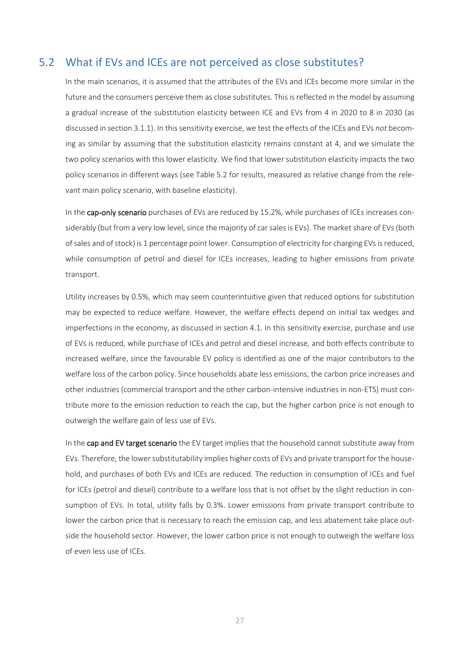#### 5.2 What if EVs and ICEs are not perceived as close substitutes?

<span id="page-27-0"></span>In the main scenarios, it is assumed that the attributes of the EVs and ICEs become more similar in the future and the consumers perceive them as close substitutes. This is reflected in the model by assuming a gradual increase of the substitution elasticity between ICE and EVs from 4 in 2020 to 8 in 2030 (as discussed in section [3.1.1\)](#page-13-0). In this sensitivity exercise, we test the effects of the ICEs and EVs *not* becoming as similar by assuming that the substitution elasticity remains constant at 4, and we simulate the two policy scenarios with this lower elasticity. We find that lower substitution elasticity impacts the two policy scenarios in different ways (see [Table 5.2](#page-28-1) for results, measured as relative change from the relevant main policy scenario, with baseline elasticity).

In the cap-only scenario purchases of EVs are reduced by 15.2%, while purchases of ICEs increases considerably (but from a very low level, since the majority of car sales is EVs). The market share of EVs (both of sales and of stock) is 1 percentage point lower. Consumption of electricity for charging EVs is reduced, while consumption of petrol and diesel for ICEs increases, leading to higher emissions from private transport.

Utility increases by 0.5%, which may seem counterintuitive given that reduced options for substitution may be expected to reduce welfare. However, the welfare effects depend on initial tax wedges and imperfections in the economy, as discussed in section 4.1. In this sensitivity exercise, purchase and use of EVs is reduced, while purchase of ICEs and petrol and diesel increase, and both effects contribute to increased welfare, since the favourable EV policy is identified as one of the major contributors to the welfare loss of the carbon policy. Since households abate less emissions, the carbon price increases and other industries (commercial transport and the other carbon-intensive industries in non-ETS) must contribute more to the emission reduction to reach the cap, but the higher carbon price is not enough to outweigh the welfare gain of less use of EVs.

In the cap and EV target scenario the EV target implies that the household cannot substitute away from EVs. Therefore, the lower substitutability implies higher costs of EVs and private transport for the household, and purchases of both EVs and ICEs are reduced. The reduction in consumption of ICEs and fuel for ICEs (petrol and diesel) contribute to a welfare loss that is not offset by the slight reduction in consumption of EVs. In total, utility falls by 0.3%. Lower emissions from private transport contribute to lower the carbon price that is necessary to reach the emission cap, and less abatement take place outside the household sector. However, the lower carbon price is not enough to outweigh the welfare loss of even less use of ICEs.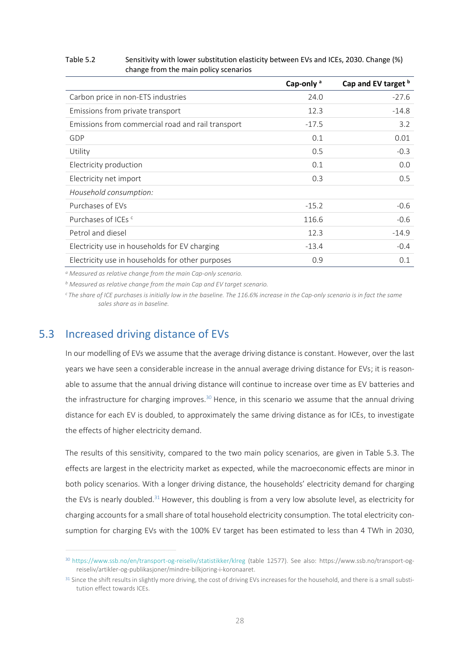#### <span id="page-28-1"></span>Table 5.2 Sensitivity with lower substitution elasticity between EVs and ICEs, 2030. Change (%) change from the main policy scenarios

|                                                   | Cap-only <sup>a</sup> | Cap and EV target b |
|---------------------------------------------------|-----------------------|---------------------|
| Carbon price in non-ETS industries                | 24.0                  | $-27.6$             |
| Emissions from private transport                  | 12.3                  | $-14.8$             |
| Emissions from commercial road and rail transport | $-17.5$               | 3.2                 |
| GDP                                               | 0.1                   | 0.01                |
| Utility                                           | 0.5                   | $-0.3$              |
| Electricity production                            | 0.1                   | 0.0                 |
| Electricity net import                            | 0.3                   | 0.5                 |
| Household consumption:                            |                       |                     |
| Purchases of EVs                                  | $-15.2$               | $-0.6$              |
| Purchases of ICEs <sup>c</sup>                    | 116.6                 | $-0.6$              |
| Petrol and diesel                                 | 12.3                  | $-14.9$             |
| Electricity use in households for EV charging     | $-13.4$               | $-0.4$              |
| Electricity use in households for other purposes  | 0.9                   | 0.1                 |

*<sup>a</sup> Measured as relative change from the main Cap-only scenario.*

*<sup>b</sup> Measured as relative change from the main Cap and EV target scenario.*

<span id="page-28-0"></span>*<sup>c</sup>The share of ICE purchases is initially low in the baseline. The 116.6% increase in the Cap-only scenario is in fact the same sales share as in baseline.* 

### 5.3 Increased driving distance of EVs

In our modelling of EVs we assume that the average driving distance is constant. However, over the last years we have seen a considerable increase in the annual average driving distance for EVs; it is reasonable to assume that the annual driving distance will continue to increase over time as EV batteries and the infrastructure for charging improves.<sup>30</sup> Hence, in this scenario we assume that the annual driving distance for each EV is doubled, to approximately the same driving distance as for ICEs, to investigate the effects of higher electricity demand.

The results of this sensitivity, compared to the two main policy scenarios, are given in [Table 5.3.](#page-29-0) The effects are largest in the electricity market as expected, while the macroeconomic effects are minor in both policy scenarios. With a longer driving distance, the households' electricity demand for charging the EVs is nearly doubled.<sup>31</sup> However, this doubling is from a very low absolute level, as electricity for charging accounts for a small share of total household electricity consumption. The total electricity consumption for charging EVs with the 100% EV target has been estimated to less than 4 TWh in 2030,

<sup>30</sup> <https://www.ssb.no/en/transport-og-reiseliv/statistikker/klreg> (table 12577). See also: https://www.ssb.no/transport-ogreiseliv/artikler-og-publikasjoner/mindre-bilkjoring-i-koronaaret.

<sup>&</sup>lt;sup>31</sup> Since the shift results in slightly more driving, the cost of driving EVs increases for the household, and there is a small substitution effect towards ICEs.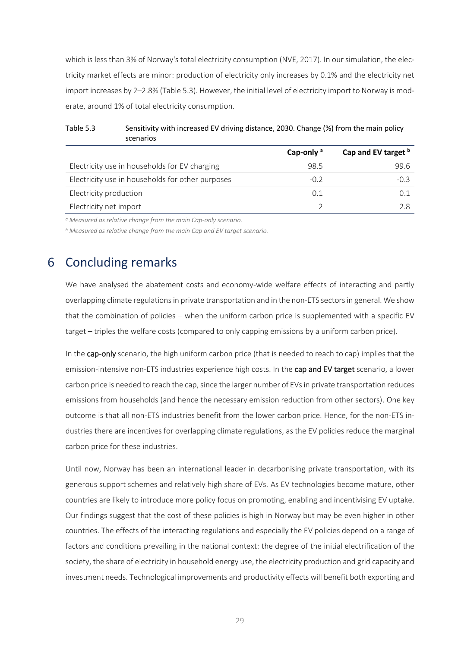which is less than 3% of Norway's total electricity consumption (NVE, 2017). In our simulation, the electricity market effects are minor: production of electricity only increases by 0.1% and the electricity net import increases by 2–2.8% [\(Table 5.3\)](#page-29-0). However, the initial level of electricity import to Norway is moderate, around 1% of total electricity consumption.

|                                                  | Cap-only $a$ | Cap and EV target b |
|--------------------------------------------------|--------------|---------------------|
| Electricity use in households for EV charging    | 98.5         | 99.6                |
| Electricity use in households for other purposes | $-0.2$       | -03                 |
| Electricity production                           | 0.1          | 01                  |
| Electricity net import                           |              |                     |

<span id="page-29-0"></span>Table 5.3 Sensitivity with increased EV driving distance, 2030. Change (%) from the main policy scenarios

*<sup>a</sup> Measured as relative change from the main Cap-only scenario.*

*<sup>b</sup> Measured as relative change from the main Cap and EV target scenario.*

### 6 Concluding remarks

We have analysed the abatement costs and economy-wide welfare effects of interacting and partly overlapping climate regulations in private transportation and in the non-ETS sectorsin general. We show that the combination of policies – when the uniform carbon price is supplemented with a specific EV target – triples the welfare costs (compared to only capping emissions by a uniform carbon price).

In the cap-only scenario, the high uniform carbon price (that is needed to reach to cap) implies that the emission-intensive non-ETS industries experience high costs. In the cap and EV target scenario, a lower carbon price is needed to reach the cap, since the larger number of EVs in private transportation reduces emissions from households (and hence the necessary emission reduction from other sectors). One key outcome is that all non-ETS industries benefit from the lower carbon price. Hence, for the non-ETS industries there are incentives for overlapping climate regulations, as the EV policies reduce the marginal carbon price for these industries.

Until now, Norway has been an international leader in decarbonising private transportation, with its generous support schemes and relatively high share of EVs. As EV technologies become mature, other countries are likely to introduce more policy focus on promoting, enabling and incentivising EV uptake. Our findings suggest that the cost of these policies is high in Norway but may be even higher in other countries. The effects of the interacting regulations and especially the EV policies depend on a range of factors and conditions prevailing in the national context: the degree of the initial electrification of the society, the share of electricity in household energy use, the electricity production and grid capacity and investment needs. Technological improvements and productivity effects will benefit both exporting and

29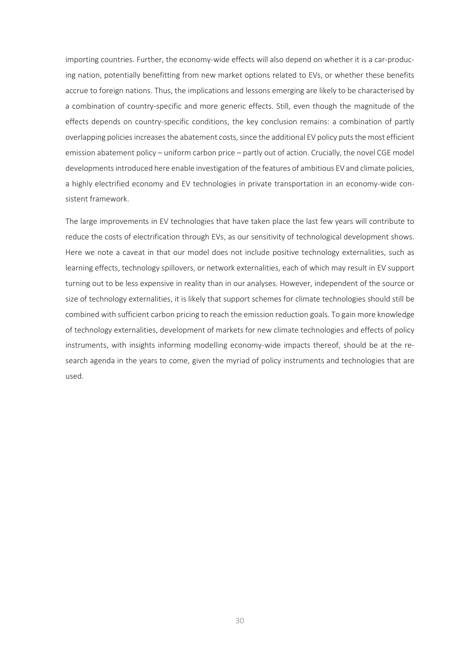importing countries. Further, the economy-wide effects will also depend on whether it is a car-producing nation, potentially benefitting from new market options related to EVs, or whether these benefits accrue to foreign nations. Thus, the implications and lessons emerging are likely to be characterised by a combination of country-specific and more generic effects. Still, even though the magnitude of the effects depends on country-specific conditions, the key conclusion remains: a combination of partly overlapping policies increases the abatement costs, since the additional EV policy puts the most efficient emission abatement policy – uniform carbon price – partly out of action. Crucially, the novel CGE model developments introduced here enable investigation of the features of ambitious EV and climate policies, a highly electrified economy and EV technologies in private transportation in an economy-wide consistent framework.

The large improvements in EV technologies that have taken place the last few years will contribute to reduce the costs of electrification through EVs, as our sensitivity of technological development shows. Here we note a caveat in that our model does not include positive technology externalities, such as learning effects, technology spillovers, or network externalities, each of which may result in EV support turning out to be less expensive in reality than in our analyses. However, independent of the source or size of technology externalities, it is likely that support schemes for climate technologies should still be combined with sufficient carbon pricing to reach the emission reduction goals. To gain more knowledge of technology externalities, development of markets for new climate technologies and effects of policy instruments, with insights informing modelling economy-wide impacts thereof, should be at the research agenda in the years to come, given the myriad of policy instruments and technologies that are used.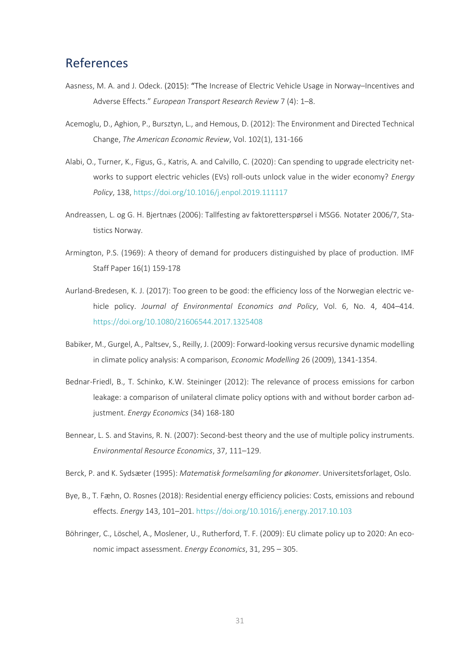### References

- Aasness, M. A. and J. Odeck. (2015): "The Increase of Electric Vehicle Usage in Norway–Incentives and Adverse Effects." *European Transport Research Review* 7 (4): 1–8.
- Acemoglu, D., Aghion, P., Bursztyn, L., and Hemous, D. (2012): The Environment and Directed Technical Change, *The American Economic Review*, Vol. 102(1), 131-166
- Alabi, O., Turner, K., Figus, G., Katris, A. and Calvillo, C. (2020): Can spending to upgrade electricity networks to support electric vehicles (EVs) roll-outs unlock value in the wider economy? *Energy Policy*, 138[, https://doi.org/10.1016/j.enpol.2019.111117](https://doi.org/10.1016/j.enpol.2019.111117)
- Andreassen, L. og G. H. Bjertnæs (2006): Tallfesting av faktoretterspørsel i MSG6. Notater 2006/7, Statistics Norway.
- Armington, P.S. (1969): A theory of demand for producers distinguished by place of production. IMF Staff Paper 16(1) 159-178
- Aurland-Bredesen, K. J. (2017): Too green to be good: the efficiency loss of the Norwegian electric vehicle policy. *Journal of Environmental Economics and Policy*, Vol. 6, No. 4, 404–414. <https://doi.org/10.1080/21606544.2017.1325408>
- Babiker, M., Gurgel, A., Paltsev, S., Reilly, J. (2009): Forward-looking versus recursive dynamic modelling in climate policy analysis: A comparison, *Economic Modelling* 26 (2009), 1341-1354.
- Bednar-Friedl, B., T. Schinko, K.W. Steininger (2012): The relevance of process emissions for carbon leakage: a comparison of unilateral climate policy options with and without border carbon adjustment. *Energy Economics* (34) 168-180
- Bennear, L. S. and Stavins, R. N. (2007): Second-best theory and the use of multiple policy instruments. *Environmental Resource Economics*, 37, 111–129.
- Berck, P. and K. Sydsæter (1995): *Matematisk formelsamling for økonomer*. Universitetsforlaget, Oslo.
- Bye, B., T. Fæhn, O. Rosnes (2018): Residential energy efficiency policies: Costs, emissions and rebound effects. *Energy* 143, 101–201.<https://doi.org/10.1016/j.energy.2017.10.103>
- Böhringer, C., Löschel, A., Moslener, U., Rutherford, T. F. (2009): EU climate policy up to 2020: An economic impact assessment. *Energy Economics*, 31, 295 – 305.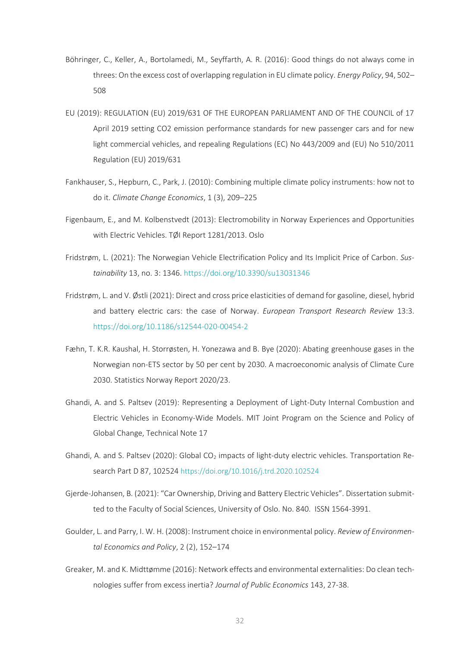- Böhringer, C., Keller, A., Bortolamedi, M., Seyffarth, A. R. (2016): Good things do not always come in threes: On the excess cost of overlapping regulation in EU climate policy. *Energy Policy*, 94, 502– 508
- EU (2019): REGULATION (EU) 2019/631 OF THE EUROPEAN PARLIAMENT AND OF THE COUNCIL of 17 April 2019 setting CO2 emission performance standards for new passenger cars and for new light commercial vehicles, and repealing Regulations (EC) No 443/2009 and (EU) No 510/2011 Regulation (EU) 2019/631
- Fankhauser, S., Hepburn, C., Park, J. (2010): Combining multiple climate policy instruments: how not to do it. *Climate Change Economics*, 1 (3), 209–225
- Figenbaum, E., and M. Kolbenstvedt (2013): Electromobility in Norway Experiences and Opportunities with Electric Vehicles. TØI Report 1281/2013. Oslo
- Fridstrøm, L. (2021): The Norwegian Vehicle Electrification Policy and Its Implicit Price of Carbon. *Sustainability* 13, no. 3: 1346.<https://doi.org/10.3390/su13031346>
- Fridstrøm, L. and V. Østli (2021): Direct and cross price elasticities of demand for gasoline, diesel, hybrid and battery electric cars: the case of Norway. *European Transport Research Review* 13:3. <https://doi.org/10.1186/s12544-020-00454-2>
- Fæhn, T. K.R. Kaushal, H. Storrøsten, H. Yonezawa and B. Bye (2020): Abating greenhouse gases in the Norwegian non-ETS sector by 50 per cent by 2030. A macroeconomic analysis of Climate Cure 2030. Statistics Norway Report 2020/23.
- Ghandi, A. and S. Paltsev (2019): Representing a Deployment of Light-Duty Internal Combustion and Electric Vehicles in Economy-Wide Models. MIT Joint Program on the Science and Policy of Global Change, Technical Note 17
- Ghandi, A. and S. Paltsev (2020): Global  $CO<sub>2</sub>$  impacts of light-duty electric vehicles. Transportation Research Part D 87, 102524 <https://doi.org/10.1016/j.trd.2020.102524>
- Gjerde-Johansen, B. (2021): "Car Ownership, Driving and Battery Electric Vehicles". Dissertation submitted to the Faculty of Social Sciences, University of Oslo. No. 840. ISSN 1564-3991.
- Goulder, L. and Parry, I. W. H. (2008): Instrument choice in environmental policy. *Review of Environmental Economics and Policy*, 2 (2), 152–174
- Greaker, M. and K. Midttømme (2016): Network effects and environmental externalities: Do clean technologies suffer from excess inertia? *Journal of Public Economics* 143, 27-38.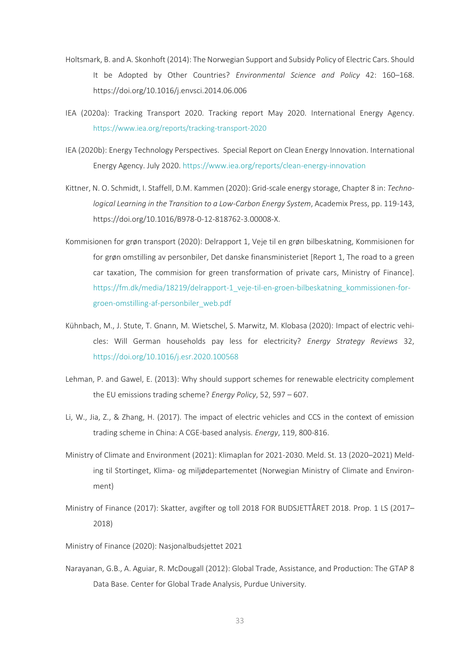- Holtsmark, B. and A. Skonhoft (2014): The Norwegian Support and Subsidy Policy of Electric Cars. Should It be Adopted by Other Countries? *Environmental Science and Policy* 42: 160–168. <https://doi.org/10.1016/j.envsci.2014.06.006>
- IEA (2020a): Tracking Transport 2020. Tracking report May 2020. International Energy Agency. <https://www.iea.org/reports/tracking-transport-2020>
- IEA (2020b): Energy Technology Perspectives. Special Report on Clean Energy Innovation. International Energy Agency. July 2020[. https://www.iea.org/reports/clean-energy-innovation](https://www.iea.org/reports/clean-energy-innovation)
- Kittner, N. O. Schmidt, I. Staffell, D.M. Kammen (2020): Grid-scale energy storage, Chapter 8 in: *Technological Learning in the Transition to a Low-Carbon Energy System*, Academix Press, pp. 119-143, https://doi.org/10.1016/B978-0-12-818762-3.00008-X.
- Kommisionen for grøn transport (2020): Delrapport 1, Veje til en grøn bilbeskatning, Kommisionen for for grøn omstilling av personbiler, Det danske finansministeriet [Report 1, The road to a green car taxation, The commision for green transformation of private cars, Ministry of Finance]. [https://fm.dk/media/18219/delrapport-1\\_veje-til-en-groen-bilbeskatning\\_kommissionen-for](https://fm.dk/media/18219/delrapport-1_veje-til-en-groen-bilbeskatning_kommissionen-for-groen-omstilling-af-personbiler_web.pdf)[groen-omstilling-af-personbiler\\_web.pdf](https://fm.dk/media/18219/delrapport-1_veje-til-en-groen-bilbeskatning_kommissionen-for-groen-omstilling-af-personbiler_web.pdf)
- Kühnbach, M., J. Stute, T. Gnann, M. Wietschel, S. Marwitz, M. Klobasa (2020): Impact of electric vehicles: Will German households pay less for electricity? *Energy Strategy Reviews* 32, <https://doi.org/10.1016/j.esr.2020.100568>
- Lehman, P. and Gawel, E. (2013): Why should support schemes for renewable electricity complement the EU emissions trading scheme? *Energy Policy*, 52, 597 – 607.
- Li, W., Jia, Z., & Zhang, H. (2017). The impact of electric vehicles and CCS in the context of emission trading scheme in China: A CGE-based analysis. *Energy*, 119, 800-816.
- Ministry of Climate and Environment (2021): Klimaplan for 2021-2030. Meld. St. 13 (2020–2021) Melding til Stortinget, Klima- og miljødepartementet (Norwegian Ministry of Climate and Environment)
- Ministry of Finance (2017): Skatter, avgifter og toll 2018 FOR BUDSJETTÅRET 2018. Prop. 1 LS (2017– 2018)
- Ministry of Finance (2020): Nasjonalbudsjettet 2021
- Narayanan, G.B., A. Aguiar, R. McDougall (2012): Global Trade, Assistance, and Production: The GTAP 8 Data Base. Center for Global Trade Analysis, Purdue University.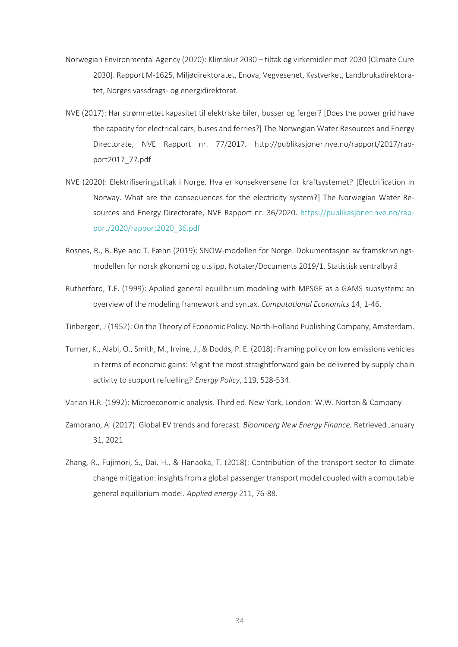- Norwegian Environmental Agency (2020): Klimakur 2030 tiltak og virkemidler mot 2030 [Climate Cure 2030]. Rapport M-1625, Miljødirektoratet, Enova, Vegvesenet, Kystverket, Landbruksdirektoratet, Norges vassdrags- og energidirektorat.
- NVE (2017): Har strømnettet kapasitet til elektriske biler, busser og ferger? [Does the power grid have the capacity for electrical cars, buses and ferries?] The Norwegian Water Resources and Energy Directorate, NVE Rapport nr. 77/2017. http://publikasjoner.nve.no/rapport/2017/rapport2017\_77.pdf
- NVE (2020): Elektrifiseringstiltak i Norge. Hva er konsekvensene for kraftsystemet? [Electrification in Norway. What are the consequences for the electricity system?] The Norwegian Water Resources and Energy Directorate, NVE Rapport nr. 36/2020. [https://publikasjoner.nve.no/rap](https://publikasjoner.nve.no/rapport/2020/rapport2020_36.pdf)[port/2020/rapport2020\\_36.pdf](https://publikasjoner.nve.no/rapport/2020/rapport2020_36.pdf)
- Rosnes, R., B. Bye and T. Fæhn (2019): SNOW-modellen for Norge. Dokumentasjon av framskrivningsmodellen for norsk økonomi og utslipp, Notater/Documents 2019/1, Statistisk sentralbyrå
- Rutherford, T.F. (1999): Applied general equilibrium modeling with MPSGE as a GAMS subsystem: an overview of the modeling framework and syntax. *Computational Economics* 14, 1-46.

Tinbergen, J (1952): On the Theory of Economic Policy. North-Holland Publishing Company, Amsterdam.

- Turner, K., Alabi, O., Smith, M., Irvine, J., & Dodds, P. E. (2018): Framing policy on low emissions vehicles in terms of economic gains: Might the most straightforward gain be delivered by supply chain activity to support refuelling? *Energy Policy*, 119, 528-534.
- Varian H.R. (1992): Microeconomic analysis. Third ed. New York, London: W.W. Norton & Company
- Zamorano, A. (2017): Global EV trends and forecast. *Bloomberg New Energy Finance.* Retrieved January 31, 2021
- Zhang, R., Fujimori, S., Dai, H., & Hanaoka, T. (2018): Contribution of the transport sector to climate change mitigation: insights from a global passenger transport model coupled with a computable general equilibrium model. *Applied energy* 211, 76-88.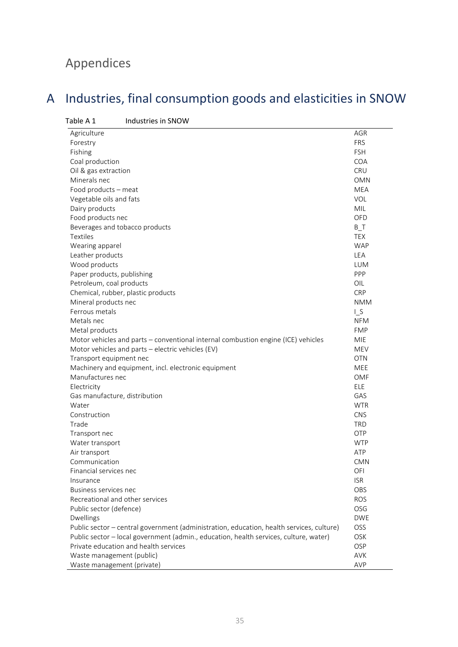# Appendices

# <span id="page-35-0"></span>A Industries, final consumption goods and elasticities in SNOW

<span id="page-35-1"></span>

| Table A 1<br>Industries in SNOW                                                          |            |
|------------------------------------------------------------------------------------------|------------|
| Agriculture                                                                              | <b>AGR</b> |
| Forestry                                                                                 | <b>FRS</b> |
| Fishing                                                                                  | <b>FSH</b> |
| Coal production                                                                          | <b>COA</b> |
| Oil & gas extraction                                                                     | <b>CRU</b> |
| Minerals nec                                                                             | <b>OMN</b> |
| Food products - meat                                                                     | <b>MEA</b> |
| Vegetable oils and fats                                                                  | VOL        |
| Dairy products                                                                           | <b>MIL</b> |
| Food products nec                                                                        | OFD        |
| Beverages and tobacco products                                                           | $B_{T}$    |
| <b>Textiles</b>                                                                          | <b>TEX</b> |
| Wearing apparel                                                                          | <b>WAP</b> |
| Leather products                                                                         | LEA        |
| Wood products                                                                            | <b>LUM</b> |
| Paper products, publishing                                                               | PPP        |
| Petroleum, coal products                                                                 | OIL        |
| Chemical, rubber, plastic products                                                       | <b>CRP</b> |
| Mineral products nec                                                                     | <b>NMM</b> |
| Ferrous metals                                                                           | $L_S$      |
| Metals nec                                                                               | <b>NFM</b> |
| Metal products                                                                           | <b>FMP</b> |
| Motor vehicles and parts - conventional internal combustion engine (ICE) vehicles        | <b>MIE</b> |
| Motor vehicles and parts - electric vehicles (EV)                                        | <b>MEV</b> |
| Transport equipment nec                                                                  | <b>OTN</b> |
| Machinery and equipment, incl. electronic equipment                                      | MEE        |
| Manufactures nec                                                                         | OMF        |
| Electricity                                                                              | <b>ELE</b> |
| Gas manufacture, distribution                                                            | GAS        |
| Water                                                                                    | <b>WTR</b> |
| Construction                                                                             | <b>CNS</b> |
| Trade                                                                                    | <b>TRD</b> |
| Transport nec                                                                            | OTP        |
| Water transport                                                                          | <b>WTP</b> |
| Air transport                                                                            | ATP        |
| Communication                                                                            | <b>CMN</b> |
| Financial services nec                                                                   | OFI        |
| Insurance                                                                                | <b>ISR</b> |
| Business services nec                                                                    | OBS        |
| Recreational and other services                                                          | <b>ROS</b> |
| Public sector (defence)                                                                  | OSG        |
| Dwellings                                                                                | <b>DWE</b> |
| Public sector - central government (administration, education, health services, culture) | OSS        |
| Public sector - local government (admin., education, health services, culture, water)    | OSK        |
| Private education and health services                                                    | OSP        |
| Waste management (public)                                                                | AVK        |
| Waste management (private)                                                               | AVP        |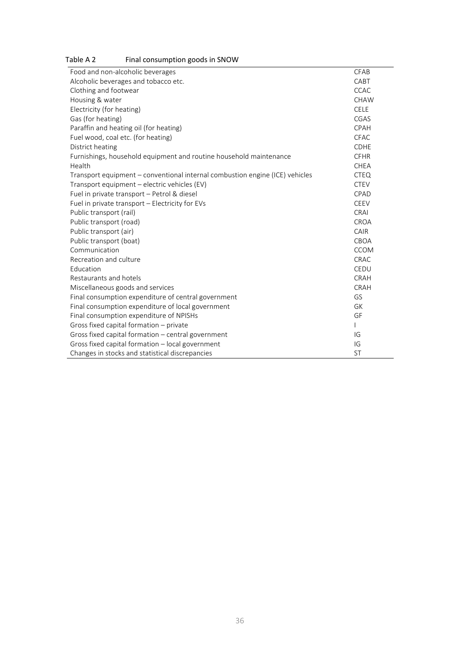| <b>THIGH CONSUMPTION ROOGS IN SINO WE</b>                                    |             |
|------------------------------------------------------------------------------|-------------|
| Food and non-alcoholic beverages                                             | CFAB        |
| Alcoholic beverages and tobacco etc.                                         | CABT        |
| Clothing and footwear                                                        | <b>CCAC</b> |
| Housing & water                                                              | <b>CHAW</b> |
| Electricity (for heating)                                                    | <b>CELE</b> |
| Gas (for heating)                                                            | CGAS        |
| Paraffin and heating oil (for heating)                                       | CPAH        |
| Fuel wood, coal etc. (for heating)                                           | <b>CFAC</b> |
| District heating                                                             | <b>CDHE</b> |
| Furnishings, household equipment and routine household maintenance           | <b>CFHR</b> |
| Health                                                                       | <b>CHEA</b> |
| Transport equipment - conventional internal combustion engine (ICE) vehicles | <b>CTEQ</b> |
| Transport equipment - electric vehicles (EV)                                 | <b>CTEV</b> |
| Fuel in private transport - Petrol & diesel                                  | CPAD        |
| Fuel in private transport - Electricity for EVs                              | CEEV        |
| Public transport (rail)                                                      | <b>CRAI</b> |
| Public transport (road)                                                      | CROA        |
| Public transport (air)                                                       | CAIR        |
| Public transport (boat)                                                      | <b>CBOA</b> |
| Communication                                                                | <b>CCOM</b> |
| Recreation and culture                                                       | CRAC        |
| Education                                                                    | CEDU        |
| Restaurants and hotels                                                       | CRAH        |
| Miscellaneous goods and services                                             | CRAH        |
| Final consumption expenditure of central government                          | GS          |
| Final consumption expenditure of local government                            | <b>GK</b>   |
| Final consumption expenditure of NPISHs                                      | GF          |
| Gross fixed capital formation - private                                      |             |
| Gross fixed capital formation - central government                           | IG          |
| Gross fixed capital formation - local government                             | IG          |
| Changes in stocks and statistical discrepancies                              | <b>ST</b>   |

#### <span id="page-36-0"></span>Table A 2 Final consumption goods in SNOW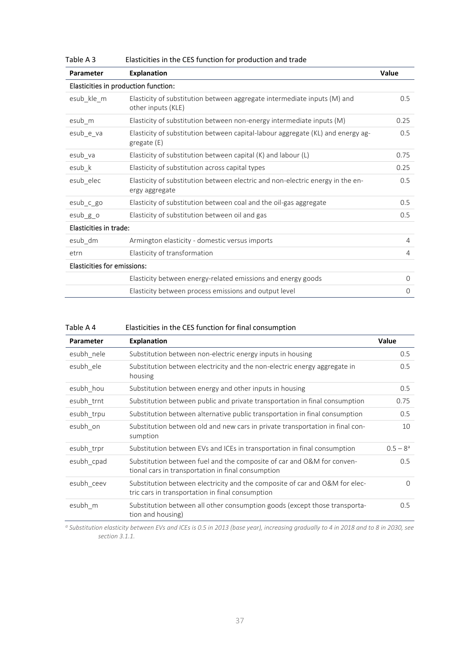| <b>Parameter</b>                   | <b>Explanation</b>                                                                               | <b>Value</b> |
|------------------------------------|--------------------------------------------------------------------------------------------------|--------------|
|                                    | Elasticities in production function:                                                             |              |
| esub_kle_m                         | Elasticity of substitution between aggregate intermediate inputs (M) and<br>other inputs (KLE)   | 0.5          |
| esub_m                             | Elasticity of substitution between non-energy intermediate inputs (M)                            | 0.25         |
| esub_e_va                          | Elasticity of substitution between capital-labour aggregate (KL) and energy ag-<br>gregate (E)   | 0.5          |
| esub_va                            | Elasticity of substitution between capital (K) and labour (L)                                    | 0.75         |
| esub_k                             | Elasticity of substitution across capital types                                                  | 0.25         |
| esub elec                          | Elasticity of substitution between electric and non-electric energy in the en-<br>ergy aggregate | 0.5          |
| esub_c_go                          | Elasticity of substitution between coal and the oil-gas aggregate                                | 0.5          |
| $esub_g$ o                         | Elasticity of substitution between oil and gas                                                   | 0.5          |
| Elasticities in trade:             |                                                                                                  |              |
| esub_dm                            | Armington elasticity - domestic versus imports                                                   | 4            |
| etrn                               | Elasticity of transformation                                                                     | 4            |
| <b>Elasticities for emissions:</b> |                                                                                                  |              |
|                                    | Elasticity between energy-related emissions and energy goods                                     | $\Omega$     |
|                                    | Elasticity between process emissions and output level                                            | $\Omega$     |
|                                    |                                                                                                  |              |

<span id="page-37-1"></span>Table A 3 Elasticities in the CES function for production and trade

<span id="page-37-0"></span>

| Table A 4 | Elasticities in the CES function for final consumption |  |  |  |
|-----------|--------------------------------------------------------|--|--|--|
|-----------|--------------------------------------------------------|--|--|--|

| <b>Parameter</b> | <b>Explanation</b>                                                                                                              | <b>Value</b> |
|------------------|---------------------------------------------------------------------------------------------------------------------------------|--------------|
| esubh nele       | Substitution between non-electric energy inputs in housing                                                                      | 0.5          |
| esubh ele        | Substitution between electricity and the non-electric energy aggregate in<br>housing                                            | 0.5          |
| esubh_hou        | Substitution between energy and other inputs in housing                                                                         | 0.5          |
| esubh trnt       | Substitution between public and private transportation in final consumption                                                     | 0.75         |
| esubh trpu       | Substitution between alternative public transportation in final consumption                                                     | 0.5          |
| esubh on         | Substitution between old and new cars in private transportation in final con-<br>sumption                                       | 10           |
| esubh trpr       | Substitution between EVs and ICEs in transportation in final consumption                                                        | $0.5 - 8^a$  |
| esubh cpad       | Substitution between fuel and the composite of car and O&M for conven-<br>tional cars in transportation in final consumption    | 0.5          |
| esubh ceev       | Substitution between electricity and the composite of car and O&M for elec-<br>tric cars in transportation in final consumption | $\Omega$     |
| esubh m          | Substitution between all other consumption goods (except those transporta-<br>tion and housing)                                 | 0.5          |

*<sup>a</sup> Substitution elasticity between EVs and ICEs is 0.5 in 2013 (base year), increasing gradually to 4 in 2018 and to 8 in 2030, see sectio[n 3.1.1.](#page-13-0)*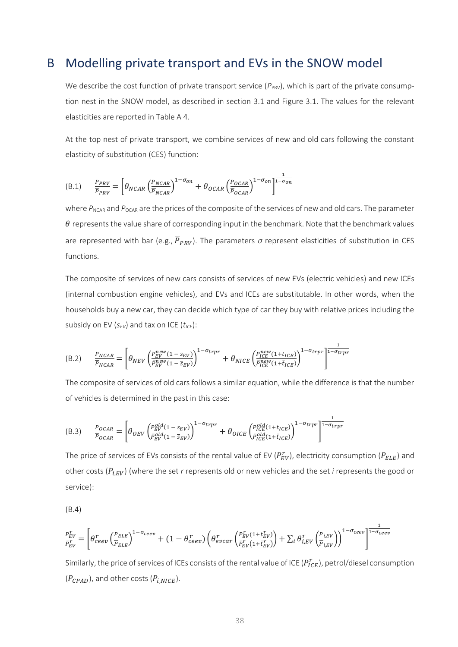#### <span id="page-38-0"></span>B Modelling private transport and EVs in the SNOW model

We describe the cost function of private transport service  $(P_{PRV})$ , which is part of the private consumption nest in the SNOW model, as described in section [3.1](#page-12-0) and Figure 3.1. The values for the relevant elasticities are reported in [Table A 4.](#page-37-0)

At the top nest of private transport, we combine services of new and old cars following the constant elasticity of substitution (CES) function:

$$
\text{(B.1)} \qquad \frac{P_{PRV}}{\overline{P}_{PRV}} = \left[ \theta_{NCAR} \left( \frac{P_{NCAR}}{\overline{P}_{NCAR}} \right)^{1-\sigma_{on}} + \theta_{OCAR} \left( \frac{P_{OCAR}}{\overline{P}_{OCAR}} \right)^{1-\sigma_{on}} \right]^{\frac{1}{1-\sigma_{on}}}
$$

where  $P_{NCAR}$  and  $P_{OCAR}$  are the prices of the composite of the services of new and old cars. The parameter  $\theta$  represents the value share of corresponding input in the benchmark. Note that the benchmark values are represented with bar (e.g.,  $\overline{P}_{PRV}$ ). The parameters  $\sigma$  represent elasticities of substitution in CES functions.

The composite of services of new cars consists of services of new EVs (electric vehicles) and new ICEs (internal combustion engine vehicles), and EVs and ICEs are substitutable. In other words, when the households buy a new car, they can decide which type of car they buy with relative prices including the subsidy on EV ( $s_{EV}$ ) and tax on ICE ( $t_{ICE}$ ):

$$
\text{(B.2)} \qquad \frac{P_{NCAR}}{\overline{P}_{NCAR}} = \left[\theta_{NEV} \left(\frac{P_{EV}^{new}(1 - s_{EV})}{\overline{P}_{EV}^{new}(1 - \overline{s}_{EV})}\right)^{1 - \sigma_{trpr}} + \theta_{NICE} \left(\frac{P_{ICE}^{new}(1 + t_{ICE})}{\overline{P}_{ICE}^{new}(1 + \overline{t}_{ICE})}\right)^{1 - \sigma_{trpr}}\right]^{\frac{1}{1 - \sigma_{trpr}}}
$$

The composite of services of old cars follows a similar equation, while the difference is that the number of vehicles is determined in the past in this case:

$$
(B.3) \qquad \frac{P_{OCAR}}{P_{OCAR}} = \left[\theta_{OEV} \left(\frac{P_{EV}^{old}(1 - s_{EV})}{P_{EV}^{old}(1 - \overline{s}_{EV})}\right)^{1 - \sigma_{trpr}} + \theta_{OICE} \left(\frac{P_{ICE}^{old}(1 + t_{ICE})}{P_{ICE}^{old}(1 + \overline{t}_{ICE})}\right)^{1 - \sigma_{trpr}}\right]^{\frac{1}{1 - \sigma_{trpr}}}
$$

The price of services of EVs consists of the rental value of EV ( $P^r_{EV}$ ), electricity consumption ( $P_{ELE}$ ) and other costs (P<sub>i,EV</sub>) (where the set *r* represents old or new vehicles and the set *i* represents the good or service):

(B.4)

$$
\frac{P_{EV}^r}{P_{EV}^r} = \left[\theta_{ceev}^r \left(\frac{P_{ELE}}{\overline{P}_{ELE}}\right)^{1-\sigma_{ceev}} + (1-\theta_{ceev}^r) \left(\theta_{evcar}^r \left(\frac{P_{EV}^r(1+t_{EV}^r)}{\overline{P}_{EV}^r(1+t_{EV}^r)}\right) + \sum_i \theta_{i,EV}^r \left(\frac{P_{i,EV}}{\overline{P}_{i,EV}}\right)\right)^{1-\sigma_{ceev}}\right]^{\frac{1}{1-\sigma_{ceev}}}
$$

Similarly, the price of services of ICEs consists of the rental value of ICE ( $P^r_{ICE}$ ), petrol/diesel consumption  $(P_{CPAD})$ , and other costs  $(P_{i,NICE})$ .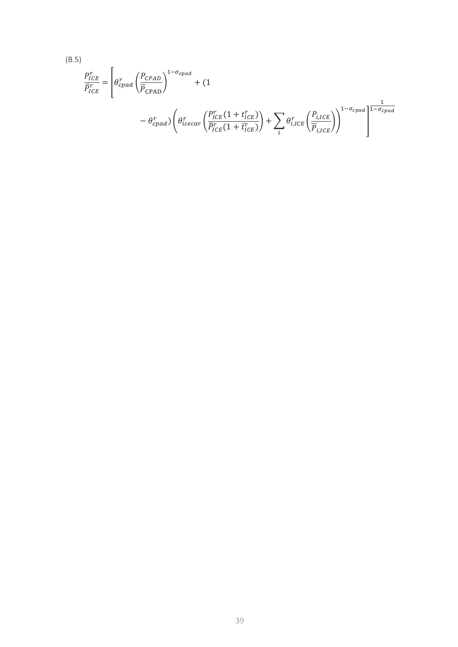(B.5)  
\n
$$
\frac{P_{ICE}^r}{\overline{P_{ICE}}^r} = \left[\theta_{CPad}^r \left(\frac{P_{CPAD}}{\overline{P}_{CPAD}}\right)^{1-\sigma_{cpad}} + (1 - \theta_{CPad}^r) \left(\theta_{icecar}^r \left(\frac{P_{ICE}^r(1+t_{ICE}^r)}{\overline{P_{ICE}}(1+\overline{t_{ICE}})}\right) + \sum_i \theta_{i,ICE}^r \left(\frac{P_{i,ICE}}{\overline{P}_{i,ICE}}\right)\right)^{1-\sigma_{cpad}}\right]^{-\sigma_{cpad}}
$$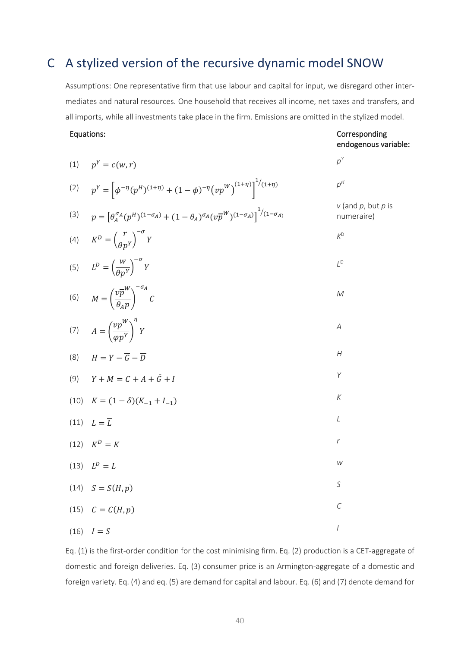### C A stylized version of the recursive dynamic model SNOW

Assumptions: One representative firm that use labour and capital for input, we disregard other intermediates and natural resources. One household that receives all income, net taxes and transfers, and all imports, while all investments take place in the firm. Emissions are omitted in the stylized model.

#### Equations:

#### Corresponding endogenous variable:

| (1) | $p^Y = c(w,r)$                                                                                                                        | $p^{Y}$                                 |
|-----|---------------------------------------------------------------------------------------------------------------------------------------|-----------------------------------------|
| (2) | $p^{Y} = \left[\phi^{-\eta}(p^{H})^{(1+\eta)} + (1-\phi)^{-\eta} (v\overline{p}^{W})^{(1+\eta)}\right]^{1/(1+\eta)}$                  | $p^\mu$                                 |
| (3) | $p = \left[\theta_A^{\sigma_A}(p^H)^{(1-\sigma_A)} + (1-\theta_A)^{\sigma_A}(v\overline{p}^W)^{(1-\sigma_A)}\right]^{1/(1-\sigma_A)}$ | $v$ (and $p$ , but $p$ is<br>numeraire) |
|     | (4) $K^D = \left(\frac{r}{\theta p^Y}\right)^{-\sigma} Y$                                                                             | $K^D$                                   |
|     | (5) $L^D = \left(\frac{W}{\theta p^Y}\right)^{-\sigma} Y$                                                                             | $L^D$                                   |
|     | (6) $M = \left(\frac{v\overline{p}^W}{\theta_0 p}\right)^{-\sigma A} C$                                                               | $\mathcal M$                            |
|     | (7) $A = \left(\frac{v\overline{p}^W}{\omega v^Y}\right)^T Y$                                                                         | $\boldsymbol{A}$                        |
| (8) | $H = Y - \overline{G} - \overline{D}$                                                                                                 | $\boldsymbol{H}$                        |
| (9) | $Y + M = C + A + \bar{G} + I$                                                                                                         | Y                                       |
|     | (10) $K = (1 - \delta)(K_{-1} + I_{-1})$                                                                                              | $\boldsymbol{K}$                        |
|     | $(11)$ $L = \overline{L}$                                                                                                             | $\cal L$                                |
|     | (12) $K^D = K$                                                                                                                        | $\boldsymbol{r}$                        |
|     | (13) $L^D = L$                                                                                                                        | W                                       |
|     | $(14)$ $S = S(H, p)$                                                                                                                  | S                                       |
|     | (15) $C = C(H, p)$                                                                                                                    | $\mathcal{C}$                           |
|     | $(16)$ $I = S$                                                                                                                        | $\sqrt{ }$                              |

Eq. (1) is the first-order condition for the cost minimising firm. Eq. (2) production is a CET-aggregate of domestic and foreign deliveries. Eq. (3) consumer price is an Armington-aggregate of a domestic and foreign variety. Eq. (4) and eq. (5) are demand for capital and labour. Eq. (6) and (7) denote demand for